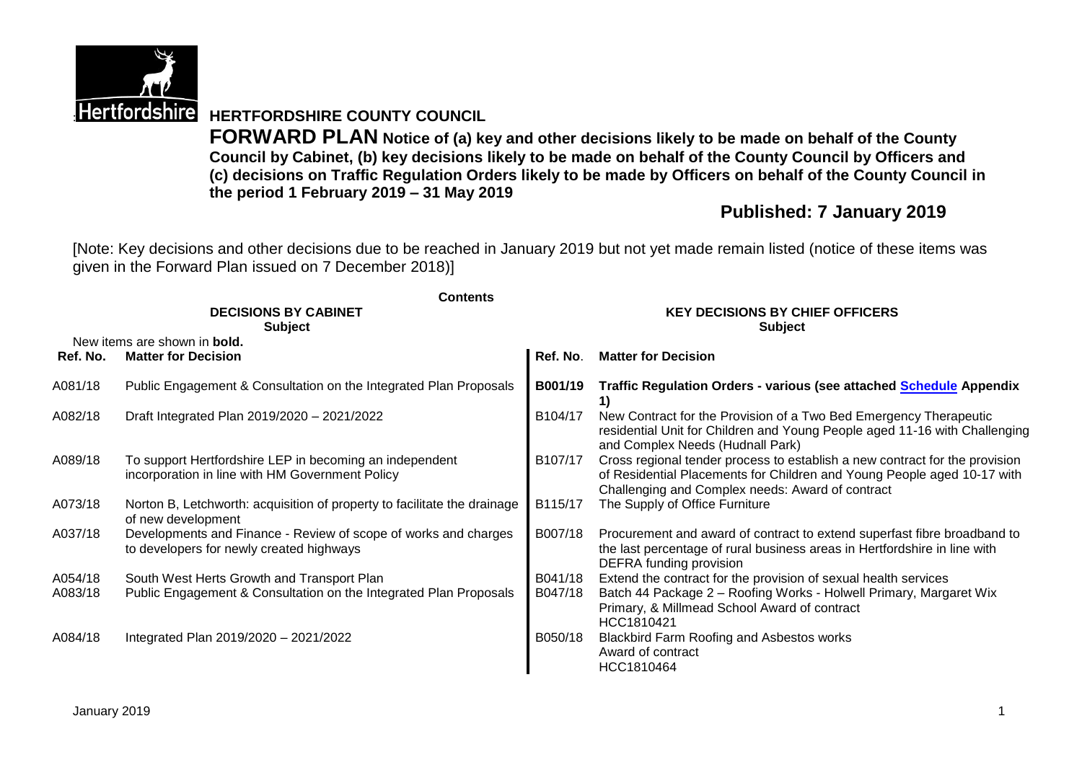

**Hertfordshire HERTFORDSHIRE COUNTY COUNCIL** 

**FORWARD PLAN Notice of (a) key and other decisions likely to be made on behalf of the County Council by Cabinet, (b) key decisions likely to be made on behalf of the County Council by Officers and (c) decisions on Traffic Regulation Orders likely to be made by Officers on behalf of the County Council in the period 1 February 2019 – 31 May 2019**

## **Published: 7 January 2019**

[Note: Key decisions and other decisions due to be reached in January 2019 but not yet made remain listed (notice of these items was given in the Forward Plan issued on 7 December 2018)]

|          | <b>Contents</b><br><b>DECISIONS BY CABINET</b><br><b>Subject</b>                                            | <b>KEY DECISIONS BY CHIEF OFFICERS</b><br><b>Subject</b> |                                                                                                                                                                                                            |  |  |
|----------|-------------------------------------------------------------------------------------------------------------|----------------------------------------------------------|------------------------------------------------------------------------------------------------------------------------------------------------------------------------------------------------------------|--|--|
| Ref. No. | New items are shown in <b>bold.</b><br><b>Matter for Decision</b>                                           | Ref. No.                                                 | <b>Matter for Decision</b>                                                                                                                                                                                 |  |  |
| A081/18  | Public Engagement & Consultation on the Integrated Plan Proposals                                           | B001/19                                                  | <b>Traffic Regulation Orders - various (see attached Schedule Appendix</b>                                                                                                                                 |  |  |
| A082/18  | Draft Integrated Plan 2019/2020 - 2021/2022                                                                 | B104/17                                                  | New Contract for the Provision of a Two Bed Emergency Therapeutic<br>residential Unit for Children and Young People aged 11-16 with Challenging<br>and Complex Needs (Hudnall Park)                        |  |  |
| A089/18  | To support Hertfordshire LEP in becoming an independent<br>incorporation in line with HM Government Policy  | B107/17                                                  | Cross regional tender process to establish a new contract for the provision<br>of Residential Placements for Children and Young People aged 10-17 with<br>Challenging and Complex needs: Award of contract |  |  |
| A073/18  | Norton B, Letchworth: acquisition of property to facilitate the drainage<br>of new development              | B115/17                                                  | The Supply of Office Furniture                                                                                                                                                                             |  |  |
| A037/18  | Developments and Finance - Review of scope of works and charges<br>to developers for newly created highways | B007/18                                                  | Procurement and award of contract to extend superfast fibre broadband to<br>the last percentage of rural business areas in Hertfordshire in line with<br>DEFRA funding provision                           |  |  |
| A054/18  | South West Herts Growth and Transport Plan                                                                  | B041/18                                                  | Extend the contract for the provision of sexual health services                                                                                                                                            |  |  |
| A083/18  | Public Engagement & Consultation on the Integrated Plan Proposals                                           | B047/18                                                  | Batch 44 Package 2 - Roofing Works - Holwell Primary, Margaret Wix<br>Primary, & Millmead School Award of contract<br>HCC1810421                                                                           |  |  |
| A084/18  | Integrated Plan 2019/2020 - 2021/2022                                                                       | B050/18                                                  | <b>Blackbird Farm Roofing and Asbestos works</b><br>Award of contract<br>HCC1810464                                                                                                                        |  |  |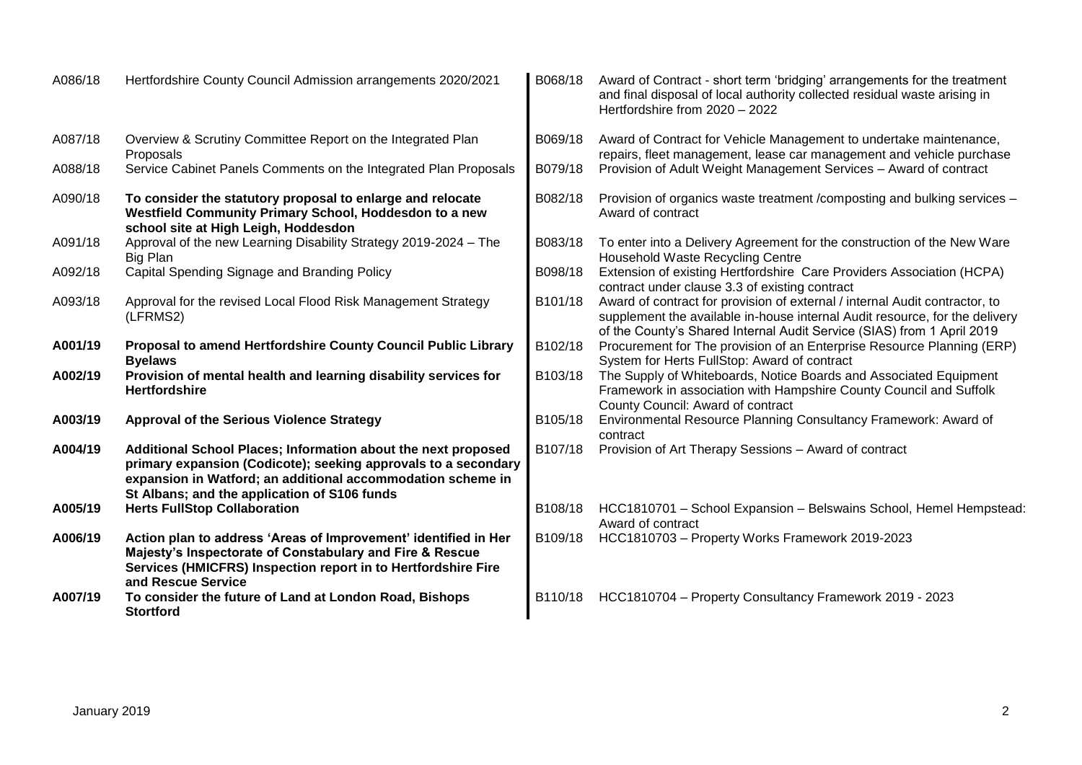| A086/18 | Hertfordshire County Council Admission arrangements 2020/2021                                                                                                                                                                                  | B068/18 | Award of Contract - short term 'bridging' arrangements for the treatment<br>and final disposal of local authority collected residual waste arising in<br>Hertfordshire from 2020 - 2022                                              |
|---------|------------------------------------------------------------------------------------------------------------------------------------------------------------------------------------------------------------------------------------------------|---------|--------------------------------------------------------------------------------------------------------------------------------------------------------------------------------------------------------------------------------------|
| A087/18 | Overview & Scrutiny Committee Report on the Integrated Plan<br>Proposals                                                                                                                                                                       | B069/18 | Award of Contract for Vehicle Management to undertake maintenance,<br>repairs, fleet management, lease car management and vehicle purchase                                                                                           |
| A088/18 | Service Cabinet Panels Comments on the Integrated Plan Proposals                                                                                                                                                                               | B079/18 | Provision of Adult Weight Management Services - Award of contract                                                                                                                                                                    |
| A090/18 | To consider the statutory proposal to enlarge and relocate<br>Westfield Community Primary School, Hoddesdon to a new<br>school site at High Leigh, Hoddesdon                                                                                   | B082/18 | Provision of organics waste treatment / composting and bulking services -<br>Award of contract                                                                                                                                       |
| A091/18 | Approval of the new Learning Disability Strategy 2019-2024 - The<br><b>Big Plan</b>                                                                                                                                                            | B083/18 | To enter into a Delivery Agreement for the construction of the New Ware<br>Household Waste Recycling Centre                                                                                                                          |
| A092/18 | Capital Spending Signage and Branding Policy                                                                                                                                                                                                   | B098/18 | Extension of existing Hertfordshire Care Providers Association (HCPA)<br>contract under clause 3.3 of existing contract                                                                                                              |
| A093/18 | Approval for the revised Local Flood Risk Management Strategy<br>(LFRMS2)                                                                                                                                                                      | B101/18 | Award of contract for provision of external / internal Audit contractor, to<br>supplement the available in-house internal Audit resource, for the delivery<br>of the County's Shared Internal Audit Service (SIAS) from 1 April 2019 |
| A001/19 | Proposal to amend Hertfordshire County Council Public Library<br><b>Byelaws</b>                                                                                                                                                                | B102/18 | Procurement for The provision of an Enterprise Resource Planning (ERP)<br>System for Herts FullStop: Award of contract                                                                                                               |
| A002/19 | Provision of mental health and learning disability services for<br><b>Hertfordshire</b>                                                                                                                                                        | B103/18 | The Supply of Whiteboards, Notice Boards and Associated Equipment<br>Framework in association with Hampshire County Council and Suffolk<br>County Council: Award of contract                                                         |
| A003/19 | <b>Approval of the Serious Violence Strategy</b>                                                                                                                                                                                               | B105/18 | Environmental Resource Planning Consultancy Framework: Award of<br>contract                                                                                                                                                          |
| A004/19 | Additional School Places; Information about the next proposed<br>primary expansion (Codicote); seeking approvals to a secondary<br>expansion in Watford; an additional accommodation scheme in<br>St Albans; and the application of S106 funds | B107/18 | Provision of Art Therapy Sessions - Award of contract                                                                                                                                                                                |
| A005/19 | <b>Herts FullStop Collaboration</b>                                                                                                                                                                                                            | B108/18 | HCC1810701 - School Expansion - Belswains School, Hemel Hempstead:<br>Award of contract                                                                                                                                              |
| A006/19 | Action plan to address 'Areas of Improvement' identified in Her<br>Majesty's Inspectorate of Constabulary and Fire & Rescue<br>Services (HMICFRS) Inspection report in to Hertfordshire Fire<br>and Rescue Service                             | B109/18 | HCC1810703 - Property Works Framework 2019-2023                                                                                                                                                                                      |
| A007/19 | To consider the future of Land at London Road, Bishops<br><b>Stortford</b>                                                                                                                                                                     | B110/18 | HCC1810704 - Property Consultancy Framework 2019 - 2023                                                                                                                                                                              |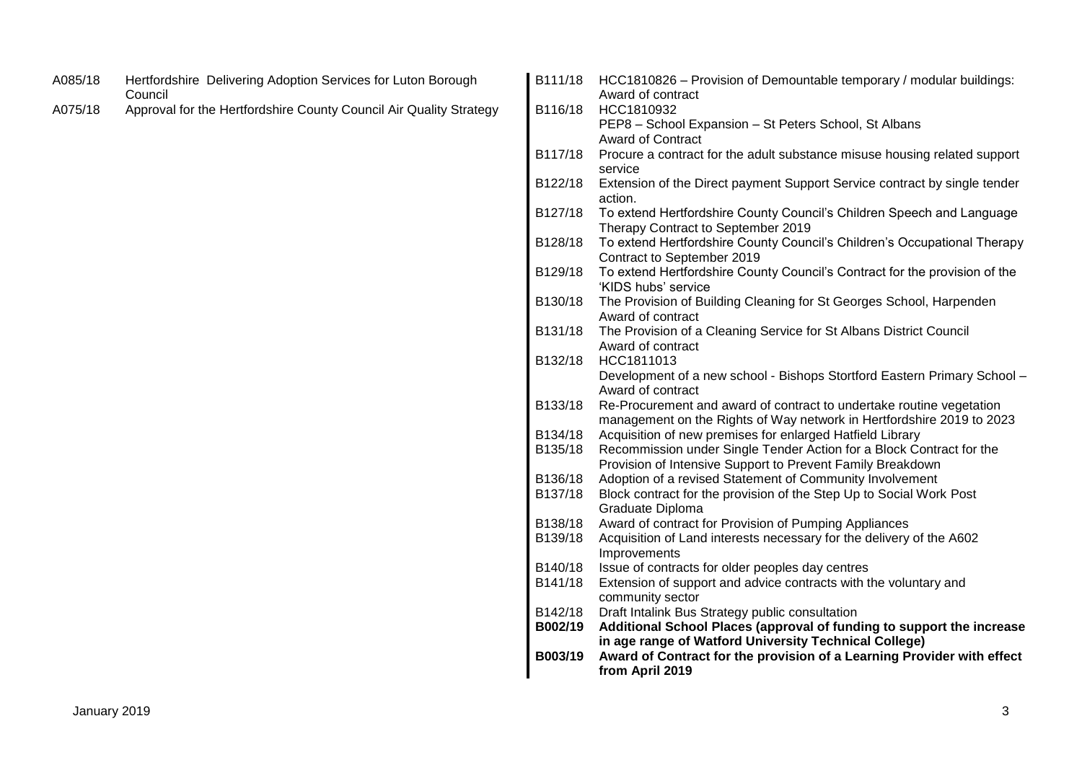| A085/18 | Hertfordshire Delivering Adoption Services for Luton Borough<br>Council | B111/18 | HCC1810826 - Provision of Demountable temporary / modular buildings:<br>Award of contract                                      |
|---------|-------------------------------------------------------------------------|---------|--------------------------------------------------------------------------------------------------------------------------------|
| A075/18 | Approval for the Hertfordshire County Council Air Quality Strategy      | B116/18 | HCC1810932                                                                                                                     |
|         |                                                                         |         | PEP8 - School Expansion - St Peters School, St Albans                                                                          |
|         |                                                                         |         | <b>Award of Contract</b>                                                                                                       |
|         |                                                                         | B117/18 | Procure a contract for the adult substance misuse housing related support<br>service                                           |
|         |                                                                         | B122/18 | Extension of the Direct payment Support Service contract by single tender<br>action.                                           |
|         |                                                                         | B127/18 | To extend Hertfordshire County Council's Children Speech and Language<br>Therapy Contract to September 2019                    |
|         |                                                                         | B128/18 | To extend Hertfordshire County Council's Children's Occupational Therapy<br>Contract to September 2019                         |
|         |                                                                         | B129/18 | To extend Hertfordshire County Council's Contract for the provision of the<br>'KIDS hubs' service                              |
|         |                                                                         | B130/18 | The Provision of Building Cleaning for St Georges School, Harpenden<br>Award of contract                                       |
|         |                                                                         | B131/18 | The Provision of a Cleaning Service for St Albans District Council                                                             |
|         |                                                                         |         | Award of contract                                                                                                              |
|         |                                                                         | B132/18 | HCC1811013                                                                                                                     |
|         |                                                                         |         | Development of a new school - Bishops Stortford Eastern Primary School -                                                       |
|         |                                                                         |         | Award of contract                                                                                                              |
|         |                                                                         | B133/18 | Re-Procurement and award of contract to undertake routine vegetation                                                           |
|         |                                                                         |         | management on the Rights of Way network in Hertfordshire 2019 to 2023                                                          |
|         |                                                                         | B134/18 | Acquisition of new premises for enlarged Hatfield Library                                                                      |
|         |                                                                         | B135/18 | Recommission under Single Tender Action for a Block Contract for the                                                           |
|         |                                                                         | B136/18 | Provision of Intensive Support to Prevent Family Breakdown<br>Adoption of a revised Statement of Community Involvement         |
|         |                                                                         | B137/18 | Block contract for the provision of the Step Up to Social Work Post                                                            |
|         |                                                                         |         | Graduate Diploma                                                                                                               |
|         |                                                                         | B138/18 | Award of contract for Provision of Pumping Appliances                                                                          |
|         |                                                                         | B139/18 | Acquisition of Land interests necessary for the delivery of the A602                                                           |
|         |                                                                         |         | Improvements                                                                                                                   |
|         |                                                                         | B140/18 | Issue of contracts for older peoples day centres                                                                               |
|         |                                                                         | B141/18 | Extension of support and advice contracts with the voluntary and<br>community sector                                           |
|         |                                                                         | B142/18 | Draft Intalink Bus Strategy public consultation                                                                                |
|         |                                                                         | B002/19 | Additional School Places (approval of funding to support the increase<br>in age range of Watford University Technical College) |
|         |                                                                         | B003/19 | Award of Contract for the provision of a Learning Provider with effect<br>from April 2019                                      |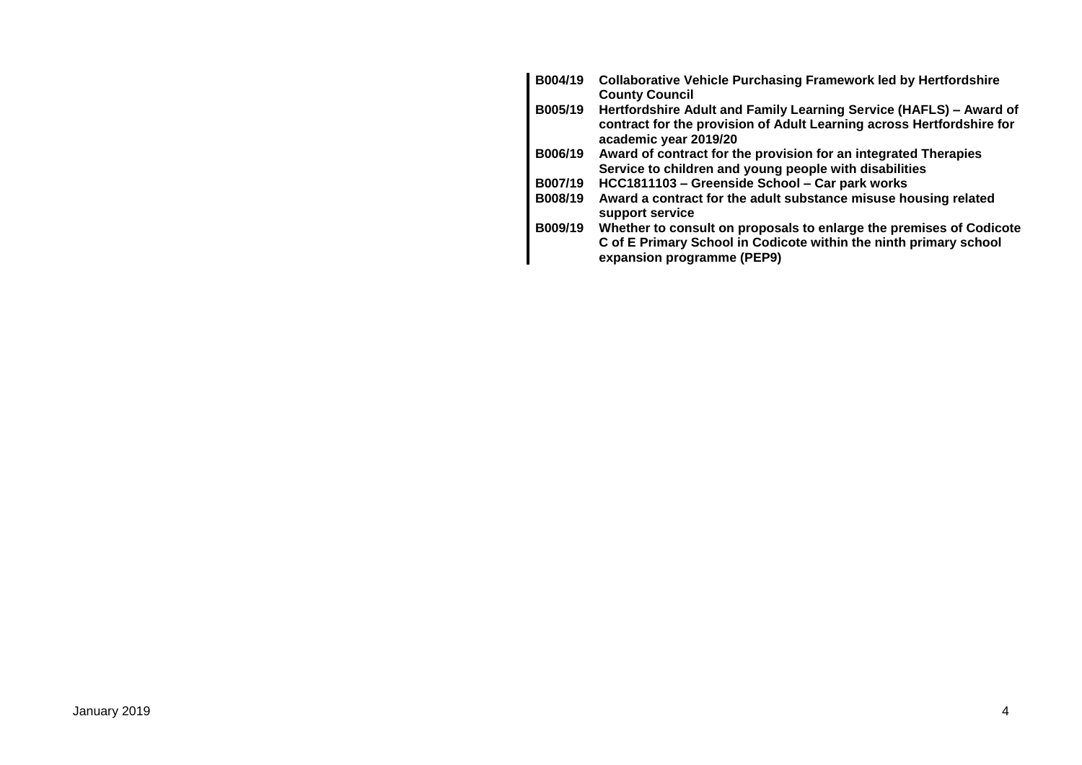| B004/19 | <b>Collaborative Vehicle Purchasing Framework led by Hertfordshire</b><br><b>County Council</b>                                                                        |
|---------|------------------------------------------------------------------------------------------------------------------------------------------------------------------------|
| B005/19 | Hertfordshire Adult and Family Learning Service (HAFLS) - Award of<br>contract for the provision of Adult Learning across Hertfordshire for<br>academic year 2019/20   |
| B006/19 | Award of contract for the provision for an integrated Therapies<br>Service to children and young people with disabilities                                              |
| B007/19 | HCC1811103 - Greenside School - Car park works                                                                                                                         |
| B008/19 | Award a contract for the adult substance misuse housing related<br>support service                                                                                     |
| B009/19 | Whether to consult on proposals to enlarge the premises of Codicote<br>C of E Primary School in Codicote within the ninth primary school<br>expansion programme (PEP9) |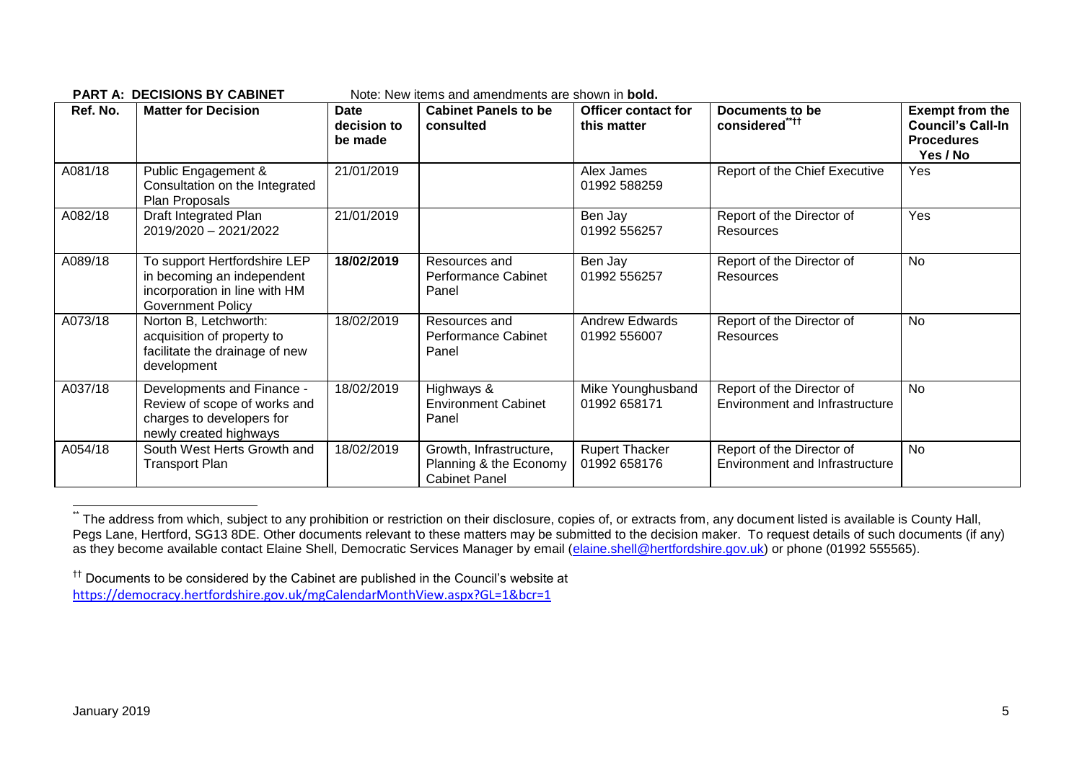**PART A: DECISIONS BY CARINET** Note: New items and amendments are shown in **bold** 

| Ref. No. | <b>Matter for Decision</b>                                                                                              | Date<br>decision to<br>be made | <b>Cabinet Panels to be</b><br>consulted                                  | <b>Officer contact for</b><br>this matter | <b>Documents to be</b><br>considered****                    | <b>Exempt from the</b><br><b>Council's Call-In</b><br><b>Procedures</b><br>Yes / No |
|----------|-------------------------------------------------------------------------------------------------------------------------|--------------------------------|---------------------------------------------------------------------------|-------------------------------------------|-------------------------------------------------------------|-------------------------------------------------------------------------------------|
| A081/18  | Public Engagement &<br>Consultation on the Integrated<br>Plan Proposals                                                 | 21/01/2019                     |                                                                           | Alex James<br>01992 588259                | Report of the Chief Executive                               | Yes                                                                                 |
| A082/18  | Draft Integrated Plan<br>2019/2020 - 2021/2022                                                                          | 21/01/2019                     |                                                                           | Ben Jay<br>01992 556257                   | Report of the Director of<br>Resources                      | Yes                                                                                 |
| A089/18  | To support Hertfordshire LEP<br>in becoming an independent<br>incorporation in line with HM<br><b>Government Policy</b> | 18/02/2019                     | Resources and<br>Performance Cabinet<br>Panel                             | Ben Jay<br>01992 556257                   | Report of the Director of<br>Resources                      | No                                                                                  |
| A073/18  | Norton B, Letchworth:<br>acquisition of property to<br>facilitate the drainage of new<br>development                    | 18/02/2019                     | Resources and<br>Performance Cabinet<br>Panel                             | Andrew Edwards<br>01992 556007            | Report of the Director of<br>Resources                      | No                                                                                  |
| A037/18  | Developments and Finance -<br>Review of scope of works and<br>charges to developers for<br>newly created highways       | 18/02/2019                     | Highways &<br><b>Environment Cabinet</b><br>Panel                         | Mike Younghusband<br>01992 658171         | Report of the Director of<br>Environment and Infrastructure | No                                                                                  |
| A054/18  | South West Herts Growth and<br><b>Transport Plan</b>                                                                    | 18/02/2019                     | Growth, Infrastructure,<br>Planning & the Economy<br><b>Cabinet Panel</b> | <b>Rupert Thacker</b><br>01992 658176     | Report of the Director of<br>Environment and Infrastructure | No                                                                                  |

The address from which, subject to any prohibition or restriction on their disclosure, copies of, or extracts from, any document listed is available is County Hall, Pegs Lane, Hertford, SG13 8DE. Other documents relevant to these matters may be submitted to the decision maker. To request details of such documents (if any) as they become available contact Elaine Shell, Democratic Services Manager by email [\(elaine.shell@hertfordshire.gov.uk\)](mailto:elaine.shell@hertfordshire.gov.uk) or phone (01992 555565).

1

<sup>††</sup> Documents to be considered by the Cabinet are published in the Council's website at <https://democracy.hertfordshire.gov.uk/mgCalendarMonthView.aspx?GL=1&bcr=1>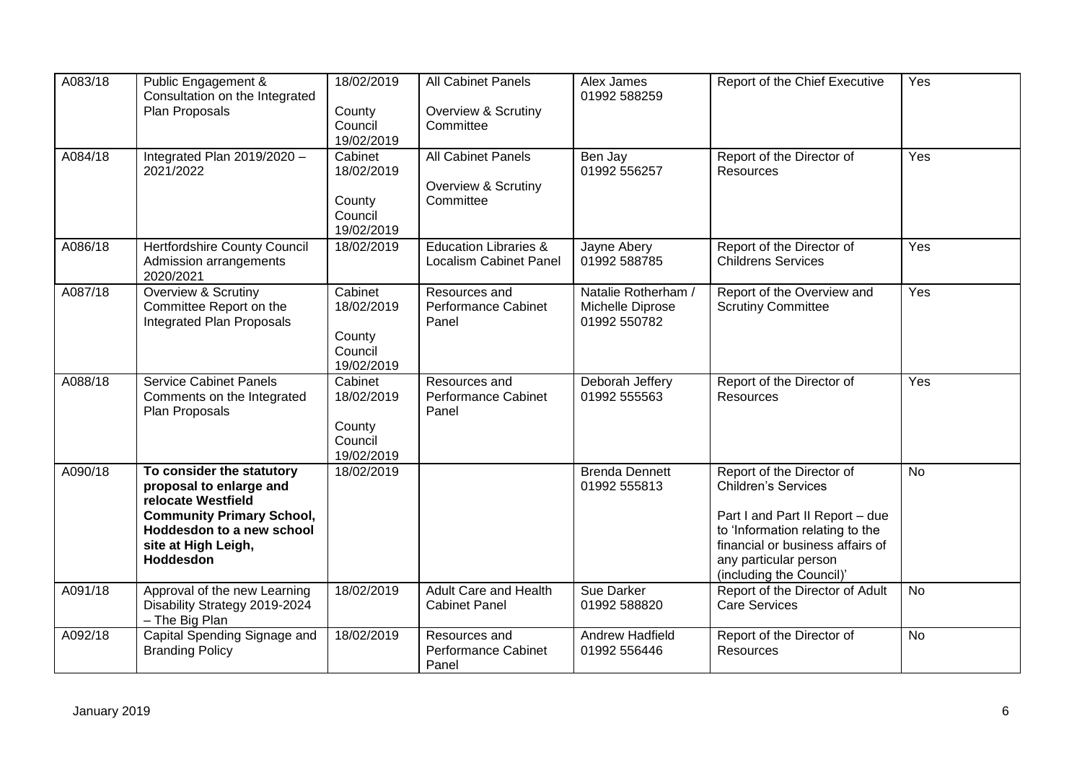| A083/18 | Public Engagement &<br>Consultation on the Integrated<br>Plan Proposals                                                                                                                | 18/02/2019<br>County<br>Council<br>19/02/2019            | <b>All Cabinet Panels</b><br>Overview & Scrutiny<br>Committee     | Alex James<br>01992 588259                              | Report of the Chief Executive                                                                                                                                                                                          | Yes       |
|---------|----------------------------------------------------------------------------------------------------------------------------------------------------------------------------------------|----------------------------------------------------------|-------------------------------------------------------------------|---------------------------------------------------------|------------------------------------------------------------------------------------------------------------------------------------------------------------------------------------------------------------------------|-----------|
| A084/18 | Integrated Plan 2019/2020 -<br>2021/2022                                                                                                                                               | Cabinet<br>18/02/2019<br>County<br>Council<br>19/02/2019 | All Cabinet Panels<br>Overview & Scrutiny<br>Committee            | Ben Jay<br>01992 556257                                 | Report of the Director of<br>Resources                                                                                                                                                                                 | Yes       |
| A086/18 | <b>Hertfordshire County Council</b><br>Admission arrangements<br>2020/2021                                                                                                             | 18/02/2019                                               | <b>Education Libraries &amp;</b><br><b>Localism Cabinet Panel</b> | Jayne Abery<br>01992 588785                             | Report of the Director of<br><b>Childrens Services</b>                                                                                                                                                                 | Yes       |
| A087/18 | Overview & Scrutiny<br>Committee Report on the<br><b>Integrated Plan Proposals</b>                                                                                                     | Cabinet<br>18/02/2019<br>County<br>Council<br>19/02/2019 | Resources and<br><b>Performance Cabinet</b><br>Panel              | Natalie Rotherham /<br>Michelle Diprose<br>01992 550782 | Report of the Overview and<br><b>Scrutiny Committee</b>                                                                                                                                                                | Yes       |
| A088/18 | <b>Service Cabinet Panels</b><br>Comments on the Integrated<br>Plan Proposals                                                                                                          | Cabinet<br>18/02/2019<br>County<br>Council<br>19/02/2019 | Resources and<br><b>Performance Cabinet</b><br>Panel              | Deborah Jeffery<br>01992 555563                         | Report of the Director of<br><b>Resources</b>                                                                                                                                                                          | Yes       |
| A090/18 | To consider the statutory<br>proposal to enlarge and<br>relocate Westfield<br><b>Community Primary School,</b><br>Hoddesdon to a new school<br>site at High Leigh,<br><b>Hoddesdon</b> | 18/02/2019                                               |                                                                   | <b>Brenda Dennett</b><br>01992 555813                   | Report of the Director of<br><b>Children's Services</b><br>Part I and Part II Report - due<br>to 'Information relating to the<br>financial or business affairs of<br>any particular person<br>(including the Council)' | <b>No</b> |
| A091/18 | Approval of the new Learning<br>Disability Strategy 2019-2024<br>- The Big Plan                                                                                                        | 18/02/2019                                               | Adult Care and Health<br><b>Cabinet Panel</b>                     | Sue Darker<br>01992 588820                              | Report of the Director of Adult<br><b>Care Services</b>                                                                                                                                                                | <b>No</b> |
| A092/18 | Capital Spending Signage and<br><b>Branding Policy</b>                                                                                                                                 | 18/02/2019                                               | Resources and<br><b>Performance Cabinet</b><br>Panel              | Andrew Hadfield<br>01992 556446                         | Report of the Director of<br><b>Resources</b>                                                                                                                                                                          | No        |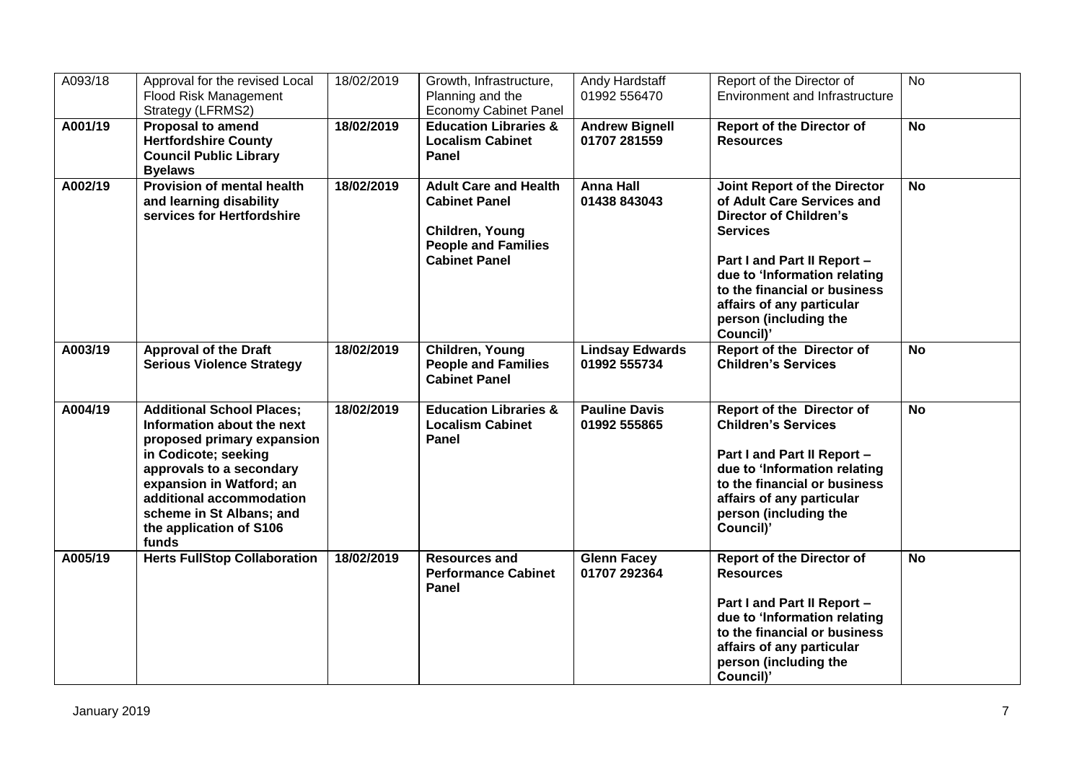| A093/18 | Approval for the revised Local<br>Flood Risk Management<br>Strategy (LFRMS2)                                                                                                                                                                                             | 18/02/2019 | Growth, Infrastructure,<br>Planning and the<br><b>Economy Cabinet Panel</b>                                                   | Andy Hardstaff<br>01992 556470         | Report of the Director of<br><b>Environment and Infrastructure</b>                                                                                                                                                                                                                      | <b>No</b>      |
|---------|--------------------------------------------------------------------------------------------------------------------------------------------------------------------------------------------------------------------------------------------------------------------------|------------|-------------------------------------------------------------------------------------------------------------------------------|----------------------------------------|-----------------------------------------------------------------------------------------------------------------------------------------------------------------------------------------------------------------------------------------------------------------------------------------|----------------|
| A001/19 | <b>Proposal to amend</b><br><b>Hertfordshire County</b><br><b>Council Public Library</b><br><b>Byelaws</b>                                                                                                                                                               | 18/02/2019 | <b>Education Libraries &amp;</b><br><b>Localism Cabinet</b><br>Panel                                                          | <b>Andrew Bignell</b><br>01707 281559  | <b>Report of the Director of</b><br><b>Resources</b>                                                                                                                                                                                                                                    | $\overline{N}$ |
| A002/19 | <b>Provision of mental health</b><br>and learning disability<br>services for Hertfordshire                                                                                                                                                                               | 18/02/2019 | <b>Adult Care and Health</b><br><b>Cabinet Panel</b><br>Children, Young<br><b>People and Families</b><br><b>Cabinet Panel</b> | <b>Anna Hall</b><br>01438 843043       | <b>Joint Report of the Director</b><br>of Adult Care Services and<br><b>Director of Children's</b><br><b>Services</b><br>Part I and Part II Report -<br>due to 'Information relating<br>to the financial or business<br>affairs of any particular<br>person (including the<br>Council)' | <b>No</b>      |
| A003/19 | <b>Approval of the Draft</b><br><b>Serious Violence Strategy</b>                                                                                                                                                                                                         | 18/02/2019 | Children, Young<br><b>People and Families</b><br><b>Cabinet Panel</b>                                                         | <b>Lindsay Edwards</b><br>01992 555734 | <b>Report of the Director of</b><br><b>Children's Services</b>                                                                                                                                                                                                                          | <b>No</b>      |
| A004/19 | <b>Additional School Places:</b><br>Information about the next<br>proposed primary expansion<br>in Codicote; seeking<br>approvals to a secondary<br>expansion in Watford; an<br>additional accommodation<br>scheme in St Albans; and<br>the application of S106<br>funds | 18/02/2019 | <b>Education Libraries &amp;</b><br><b>Localism Cabinet</b><br>Panel                                                          | <b>Pauline Davis</b><br>01992 555865   | <b>Report of the Director of</b><br><b>Children's Services</b><br>Part I and Part II Report -<br>due to 'Information relating<br>to the financial or business<br>affairs of any particular<br>person (including the<br>Council)'                                                        | <b>No</b>      |
| A005/19 | <b>Herts FullStop Collaboration</b>                                                                                                                                                                                                                                      | 18/02/2019 | <b>Resources and</b><br><b>Performance Cabinet</b><br>Panel                                                                   | <b>Glenn Facey</b><br>01707 292364     | <b>Report of the Director of</b><br><b>Resources</b><br>Part I and Part II Report -<br>due to 'Information relating<br>to the financial or business<br>affairs of any particular<br>person (including the<br>Council)'                                                                  | <b>No</b>      |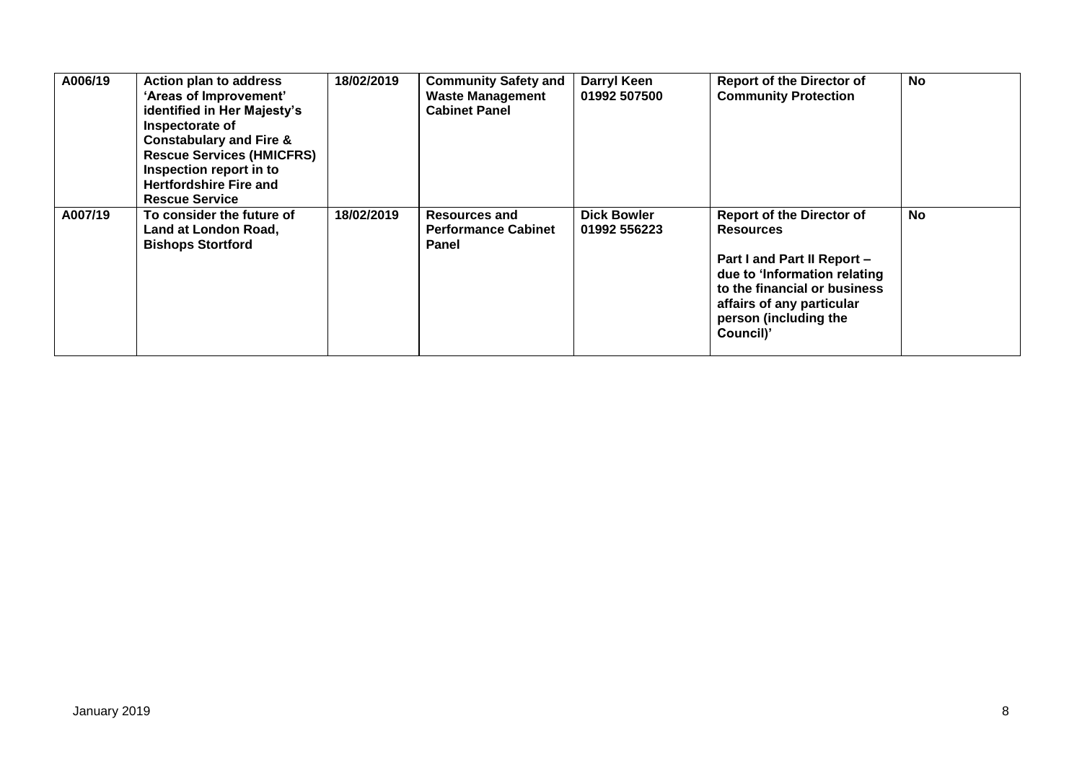| A006/19 | <b>Action plan to address</b><br>'Areas of Improvement'<br>identified in Her Majesty's<br>Inspectorate of<br><b>Constabulary and Fire &amp;</b><br><b>Rescue Services (HMICFRS)</b><br>Inspection report in to<br><b>Hertfordshire Fire and</b><br><b>Rescue Service</b> | 18/02/2019 | <b>Community Safety and</b><br><b>Waste Management</b><br><b>Cabinet Panel</b> | Darryl Keen<br>01992 507500        | <b>Report of the Director of</b><br><b>Community Protection</b>                                                                                                                                                        | <b>No</b> |
|---------|--------------------------------------------------------------------------------------------------------------------------------------------------------------------------------------------------------------------------------------------------------------------------|------------|--------------------------------------------------------------------------------|------------------------------------|------------------------------------------------------------------------------------------------------------------------------------------------------------------------------------------------------------------------|-----------|
| A007/19 | To consider the future of<br>Land at London Road,<br><b>Bishops Stortford</b>                                                                                                                                                                                            | 18/02/2019 | <b>Resources and</b><br><b>Performance Cabinet</b><br><b>Panel</b>             | <b>Dick Bowler</b><br>01992 556223 | <b>Report of the Director of</b><br><b>Resources</b><br>Part I and Part II Report -<br>due to 'Information relating<br>to the financial or business<br>affairs of any particular<br>person (including the<br>Council)' | <b>No</b> |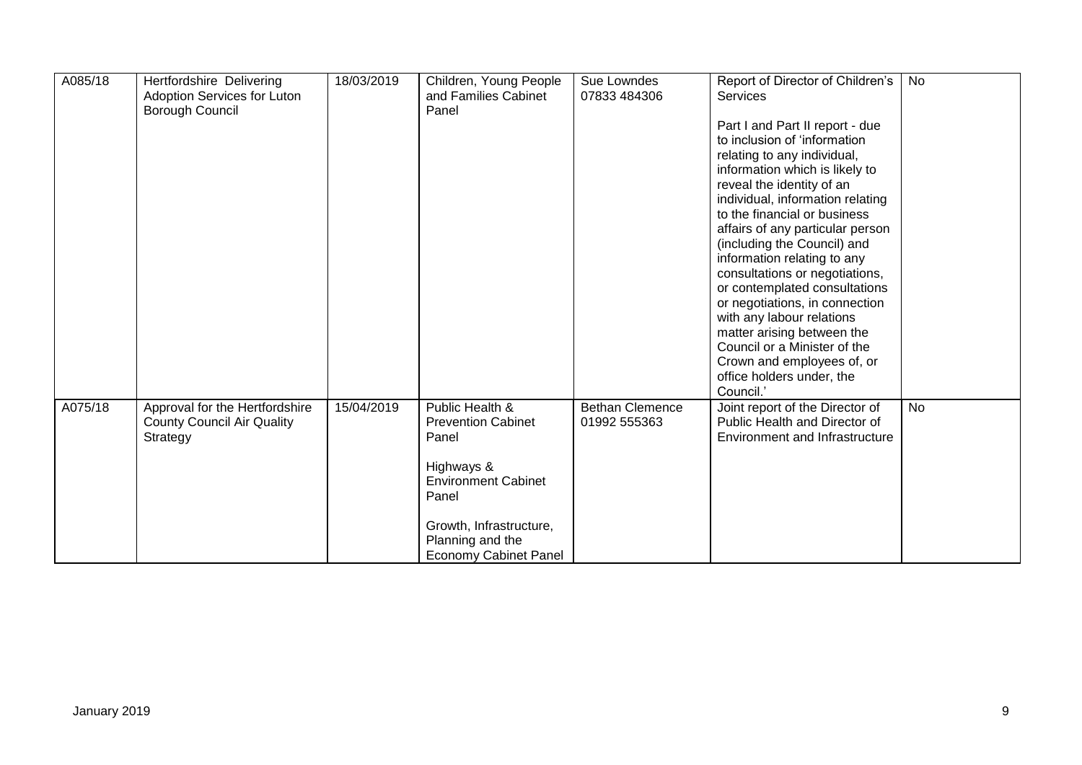| A085/18 | Hertfordshire Delivering<br>Adoption Services for Luton<br>Borough Council | 18/03/2019 | Children, Young People<br>and Families Cabinet<br>Panel | Sue Lowndes<br>07833 484306 | Report of Director of Children's<br><b>Services</b>              | No        |
|---------|----------------------------------------------------------------------------|------------|---------------------------------------------------------|-----------------------------|------------------------------------------------------------------|-----------|
|         |                                                                            |            |                                                         |                             | Part I and Part II report - due                                  |           |
|         |                                                                            |            |                                                         |                             | to inclusion of 'information                                     |           |
|         |                                                                            |            |                                                         |                             | relating to any individual,                                      |           |
|         |                                                                            |            |                                                         |                             | information which is likely to                                   |           |
|         |                                                                            |            |                                                         |                             | reveal the identity of an                                        |           |
|         |                                                                            |            |                                                         |                             | individual, information relating<br>to the financial or business |           |
|         |                                                                            |            |                                                         |                             | affairs of any particular person                                 |           |
|         |                                                                            |            |                                                         |                             | (including the Council) and                                      |           |
|         |                                                                            |            |                                                         |                             | information relating to any                                      |           |
|         |                                                                            |            |                                                         |                             | consultations or negotiations,                                   |           |
|         |                                                                            |            |                                                         |                             | or contemplated consultations                                    |           |
|         |                                                                            |            |                                                         |                             | or negotiations, in connection                                   |           |
|         |                                                                            |            |                                                         |                             | with any labour relations                                        |           |
|         |                                                                            |            |                                                         |                             | matter arising between the                                       |           |
|         |                                                                            |            |                                                         |                             | Council or a Minister of the                                     |           |
|         |                                                                            |            |                                                         |                             | Crown and employees of, or                                       |           |
|         |                                                                            |            |                                                         |                             | office holders under, the<br>Council.'                           |           |
| A075/18 |                                                                            | 15/04/2019 | Public Health &                                         | <b>Bethan Clemence</b>      |                                                                  | <b>No</b> |
|         | Approval for the Hertfordshire<br><b>County Council Air Quality</b>        |            | <b>Prevention Cabinet</b>                               | 01992 555363                | Joint report of the Director of<br>Public Health and Director of |           |
|         | Strategy                                                                   |            | Panel                                                   |                             | <b>Environment and Infrastructure</b>                            |           |
|         |                                                                            |            |                                                         |                             |                                                                  |           |
|         |                                                                            |            | Highways &                                              |                             |                                                                  |           |
|         |                                                                            |            | <b>Environment Cabinet</b>                              |                             |                                                                  |           |
|         |                                                                            |            | Panel                                                   |                             |                                                                  |           |
|         |                                                                            |            | Growth, Infrastructure,                                 |                             |                                                                  |           |
|         |                                                                            |            | Planning and the                                        |                             |                                                                  |           |
|         |                                                                            |            | <b>Economy Cabinet Panel</b>                            |                             |                                                                  |           |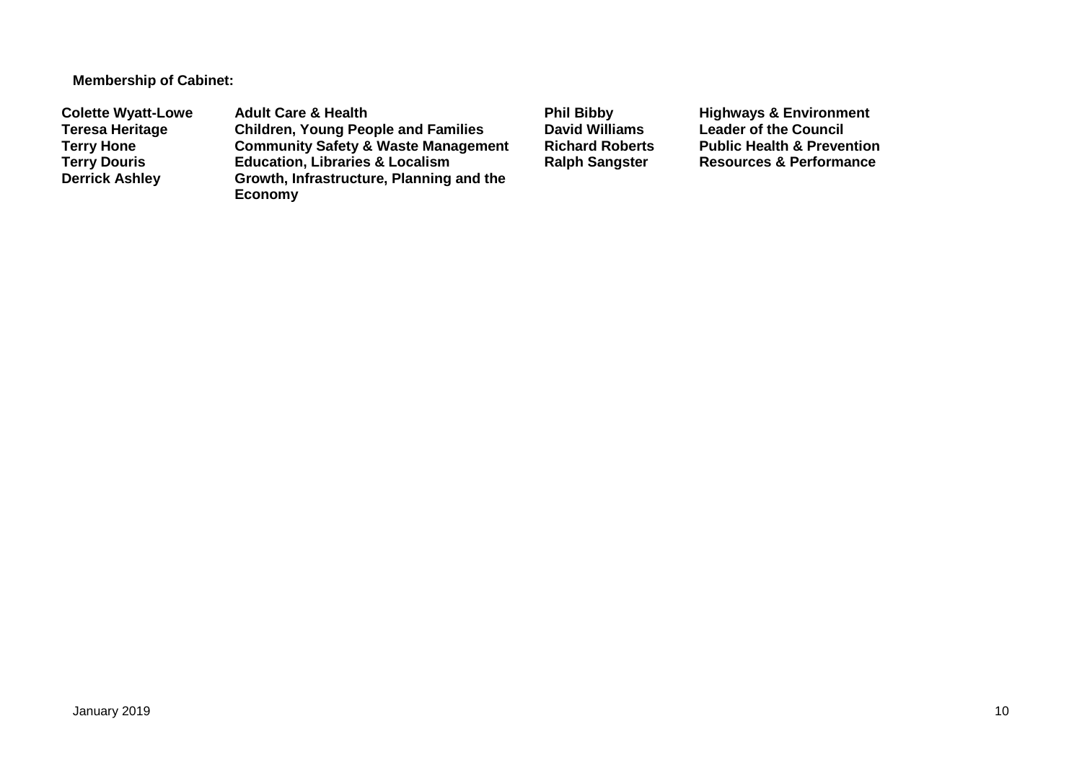**Membership of Cabinet:** 

**Colette Wyatt-Lowe** Adult Care & Health **Phil Bibby Bill Bibby** Highways & Environment<br>Teresa Heritage Children, Young People and Families David Williams Leader of the Council **Teresa Heritage Children, Young People and Families David Williams Leader of the Council Terry Hone Community Safety & Waste Management Richard Roberts Public Health & Prevention Terry Douris <b>Education, Libraries & Localism**<br> **Derrick Ashley** Growth, Infrastructure, Planning **Growth, Infrastructure, Planning and the Economy**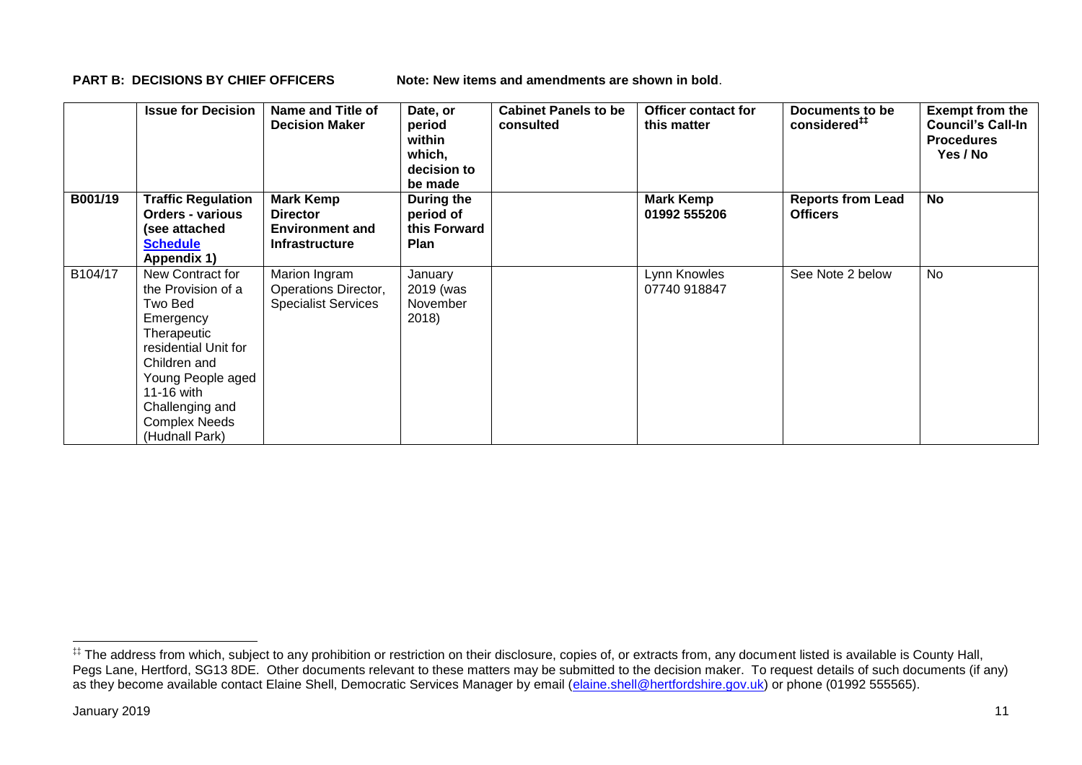**PART B: DECISIONS BY CHIEF OFFICERS Note: New items and amendments are shown in bold.** 

|         | <b>Issue for Decision</b>                                                                                                                                                                                             | Name and Title of<br><b>Decision Maker</b>                                             | Date, or<br>period<br>within<br>which,<br>decision to<br>be made | <b>Cabinet Panels to be</b><br>consulted | <b>Officer contact for</b><br>this matter | Documents to be<br>considered <sup>##</sup> | <b>Exempt from the</b><br><b>Council's Call-In</b><br><b>Procedures</b><br>Yes / No |
|---------|-----------------------------------------------------------------------------------------------------------------------------------------------------------------------------------------------------------------------|----------------------------------------------------------------------------------------|------------------------------------------------------------------|------------------------------------------|-------------------------------------------|---------------------------------------------|-------------------------------------------------------------------------------------|
| B001/19 | <b>Traffic Regulation</b><br><b>Orders - various</b><br>(see attached<br><b>Schedule</b><br>Appendix 1)                                                                                                               | <b>Mark Kemp</b><br><b>Director</b><br><b>Environment and</b><br><b>Infrastructure</b> | During the<br>period of<br>this Forward<br><b>Plan</b>           |                                          | <b>Mark Kemp</b><br>01992 555206          | <b>Reports from Lead</b><br><b>Officers</b> | <b>No</b>                                                                           |
| B104/17 | New Contract for<br>the Provision of a<br>Two Bed<br>Emergency<br>Therapeutic<br>residential Unit for<br>Children and<br>Young People aged<br>11-16 with<br>Challenging and<br><b>Complex Needs</b><br>(Hudnall Park) | Marion Ingram<br>Operations Director,<br><b>Specialist Services</b>                    | January<br>2019 (was<br>November<br>2018)                        |                                          | Lynn Knowles<br>07740 918847              | See Note 2 below                            | <b>No</b>                                                                           |

1

<sup>‡‡</sup> The address from which, subject to any prohibition or restriction on their disclosure, copies of, or extracts from, any document listed is available is County Hall, Pegs Lane, Hertford, SG13 8DE. Other documents relevant to these matters may be submitted to the decision maker. To request details of such documents (if any) as they become available contact Elaine Shell, Democratic Services Manager by email [\(elaine.shell@hertfordshire.gov.uk\)](mailto:elaine.shell@hertfordshire.gov.uk) or phone (01992 55565).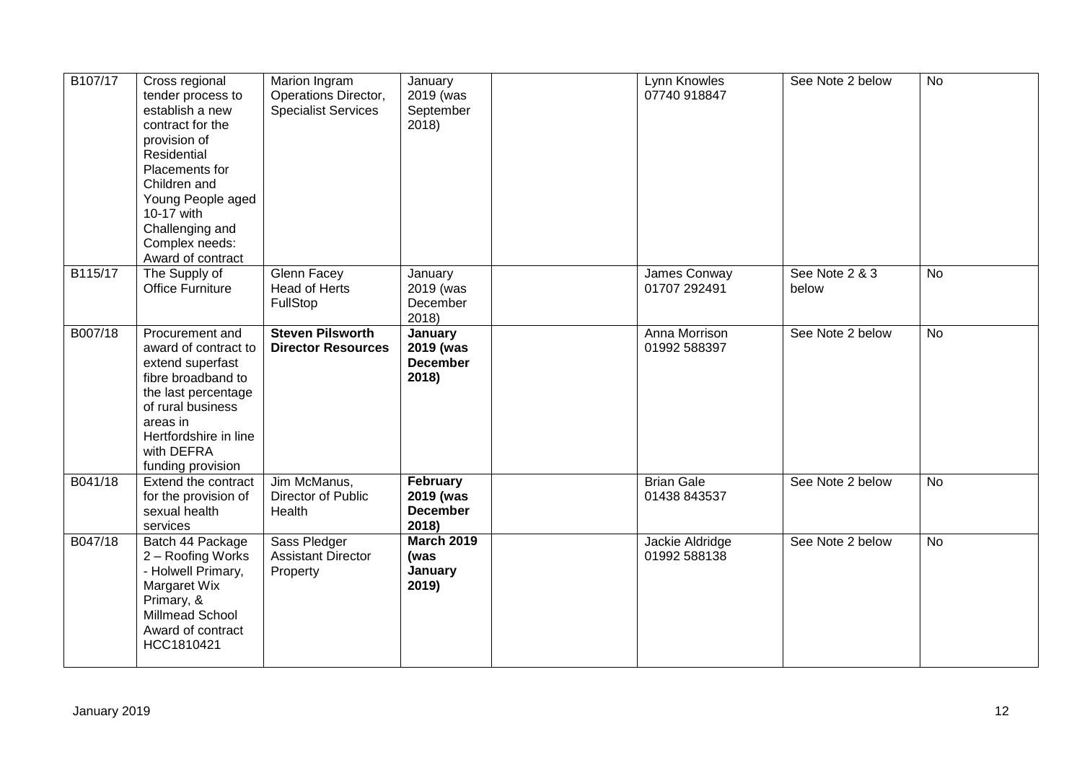| B107/17 | Cross regional<br>tender process to<br>establish a new<br>contract for the<br>provision of<br>Residential<br>Placements for<br>Children and<br>Young People aged<br>10-17 with<br>Challenging and<br>Complex needs:<br>Award of contract | Marion Ingram<br>Operations Director,<br><b>Specialist Services</b> | January<br>2019 (was<br>September<br>2018)        | Lynn Knowles<br>07740 918847      | See Note 2 below        | No             |
|---------|------------------------------------------------------------------------------------------------------------------------------------------------------------------------------------------------------------------------------------------|---------------------------------------------------------------------|---------------------------------------------------|-----------------------------------|-------------------------|----------------|
| B115/17 | The Supply of<br><b>Office Furniture</b>                                                                                                                                                                                                 | Glenn Facey<br><b>Head of Herts</b><br>FullStop                     | January<br>2019 (was<br>December<br>2018)         | James Conway<br>01707 292491      | See Note 2 & 3<br>below | <b>No</b>      |
| B007/18 | Procurement and<br>award of contract to<br>extend superfast<br>fibre broadband to<br>the last percentage<br>of rural business<br>areas in<br>Hertfordshire in line<br>with DEFRA<br>funding provision                                    | <b>Steven Pilsworth</b><br><b>Director Resources</b>                | January<br>2019 (was<br><b>December</b><br>2018)  | Anna Morrison<br>01992 588397     | See Note 2 below        | $\overline{N}$ |
| B041/18 | Extend the contract<br>for the provision of<br>sexual health<br>services                                                                                                                                                                 | Jim McManus,<br>Director of Public<br>Health                        | February<br>2019 (was<br><b>December</b><br>2018) | <b>Brian Gale</b><br>01438 843537 | See Note 2 below        | <b>No</b>      |
| B047/18 | Batch 44 Package<br>2 - Roofing Works<br>- Holwell Primary,<br>Margaret Wix<br>Primary, &<br>Millmead School<br>Award of contract<br>HCC1810421                                                                                          | Sass Pledger<br><b>Assistant Director</b><br>Property               | <b>March 2019</b><br>(was<br>January<br>2019)     | Jackie Aldridge<br>01992 588138   | See Note 2 below        | <b>No</b>      |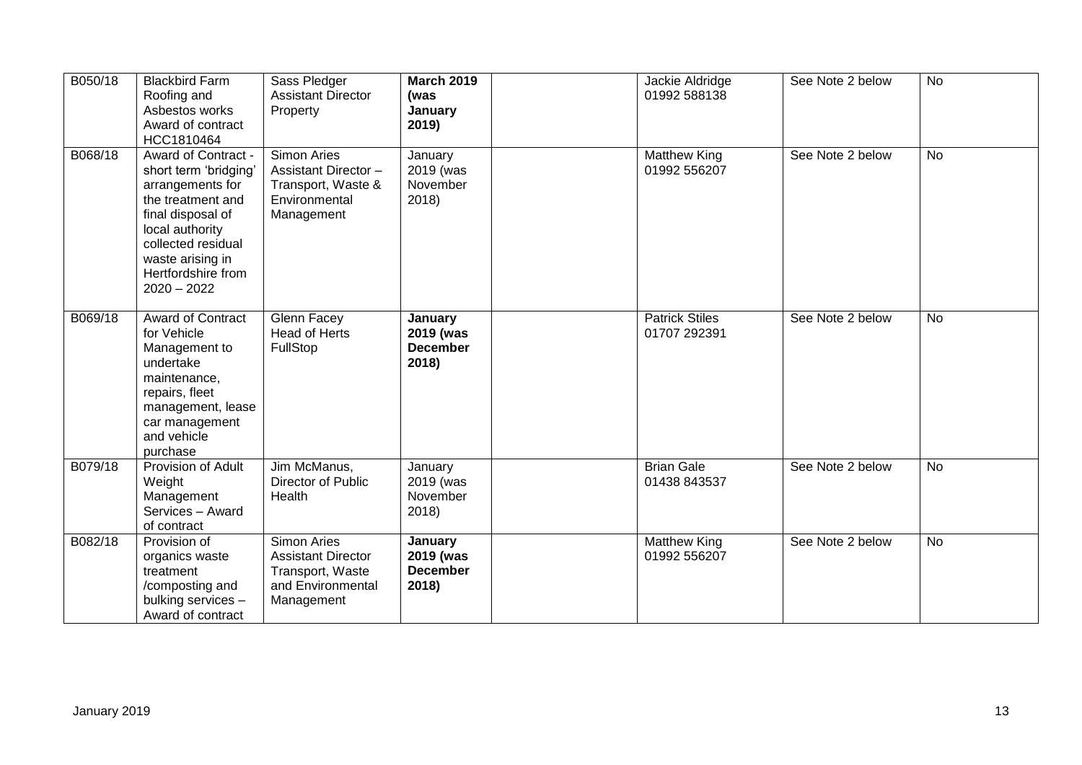| B050/18 | <b>Blackbird Farm</b><br>Roofing and<br>Asbestos works<br>Award of contract<br>HCC1810464                                                                                                                      | Sass Pledger<br><b>Assistant Director</b><br>Property                                           | <b>March 2019</b><br>(was<br>January<br>2019)           | Jackie Aldridge<br>01992 588138       | See Note 2 below | <b>No</b> |
|---------|----------------------------------------------------------------------------------------------------------------------------------------------------------------------------------------------------------------|-------------------------------------------------------------------------------------------------|---------------------------------------------------------|---------------------------------------|------------------|-----------|
| B068/18 | Award of Contract -<br>short term 'bridging'<br>arrangements for<br>the treatment and<br>final disposal of<br>local authority<br>collected residual<br>waste arising in<br>Hertfordshire from<br>$2020 - 2022$ | Simon Aries<br>Assistant Director -<br>Transport, Waste &<br>Environmental<br>Management        | January<br>2019 (was<br>November<br>2018)               | <b>Matthew King</b><br>01992 556207   | See Note 2 below | <b>No</b> |
| B069/18 | <b>Award of Contract</b><br>for Vehicle<br>Management to<br>undertake<br>maintenance,<br>repairs, fleet<br>management, lease<br>car management<br>and vehicle<br>purchase                                      | Glenn Facey<br>Head of Herts<br>FullStop                                                        | January<br>2019 (was<br><b>December</b><br>2018)        | <b>Patrick Stiles</b><br>01707 292391 | See Note 2 below | <b>No</b> |
| B079/18 | Provision of Adult<br>Weight<br>Management<br>Services - Award<br>of contract                                                                                                                                  | Jim McManus,<br>Director of Public<br>Health                                                    | January<br>2019 (was<br>November<br>2018)               | <b>Brian Gale</b><br>01438 843537     | See Note 2 below | <b>No</b> |
| B082/18 | Provision of<br>organics waste<br>treatment<br>/composting and<br>bulking services -<br>Award of contract                                                                                                      | Simon Aries<br><b>Assistant Director</b><br>Transport, Waste<br>and Environmental<br>Management | <b>January</b><br>2019 (was<br><b>December</b><br>2018) | <b>Matthew King</b><br>01992 556207   | See Note 2 below | <b>No</b> |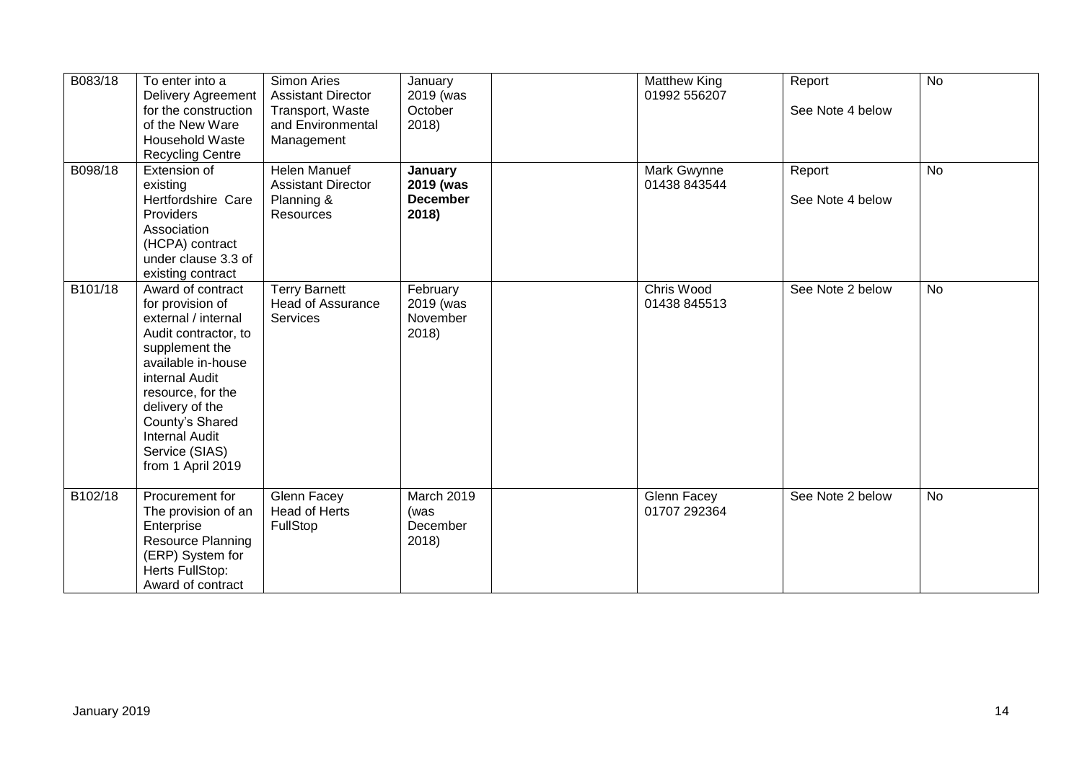| B083/18 | To enter into a<br><b>Delivery Agreement</b><br>for the construction<br>of the New Ware<br><b>Household Waste</b><br><b>Recycling Centre</b>                                                                                                                              | <b>Simon Aries</b><br><b>Assistant Director</b><br>Transport, Waste<br>and Environmental<br>Management | January<br>2019 (was<br>October<br>2018)         | <b>Matthew King</b><br>01992 556207 | Report<br>See Note 4 below | <b>No</b> |
|---------|---------------------------------------------------------------------------------------------------------------------------------------------------------------------------------------------------------------------------------------------------------------------------|--------------------------------------------------------------------------------------------------------|--------------------------------------------------|-------------------------------------|----------------------------|-----------|
| B098/18 | Extension of<br>existing<br>Hertfordshire Care<br>Providers<br>Association<br>(HCPA) contract<br>under clause 3.3 of<br>existing contract                                                                                                                                 | Helen Manuef<br><b>Assistant Director</b><br>Planning &<br>Resources                                   | January<br>2019 (was<br><b>December</b><br>2018) | Mark Gwynne<br>01438 843544         | Report<br>See Note 4 below | No        |
| B101/18 | Award of contract<br>for provision of<br>external / internal<br>Audit contractor, to<br>supplement the<br>available in-house<br>internal Audit<br>resource, for the<br>delivery of the<br>County's Shared<br><b>Internal Audit</b><br>Service (SIAS)<br>from 1 April 2019 | <b>Terry Barnett</b><br><b>Head of Assurance</b><br>Services                                           | February<br>2019 (was<br>November<br>2018)       | Chris Wood<br>01438 845513          | See Note 2 below           | <b>No</b> |
| B102/18 | Procurement for<br>The provision of an<br>Enterprise<br>Resource Planning<br>(ERP) System for<br>Herts FullStop:<br>Award of contract                                                                                                                                     | Glenn Facey<br>Head of Herts<br>FullStop                                                               | March 2019<br>(was<br>December<br>2018)          | Glenn Facey<br>01707 292364         | See Note 2 below           | <b>No</b> |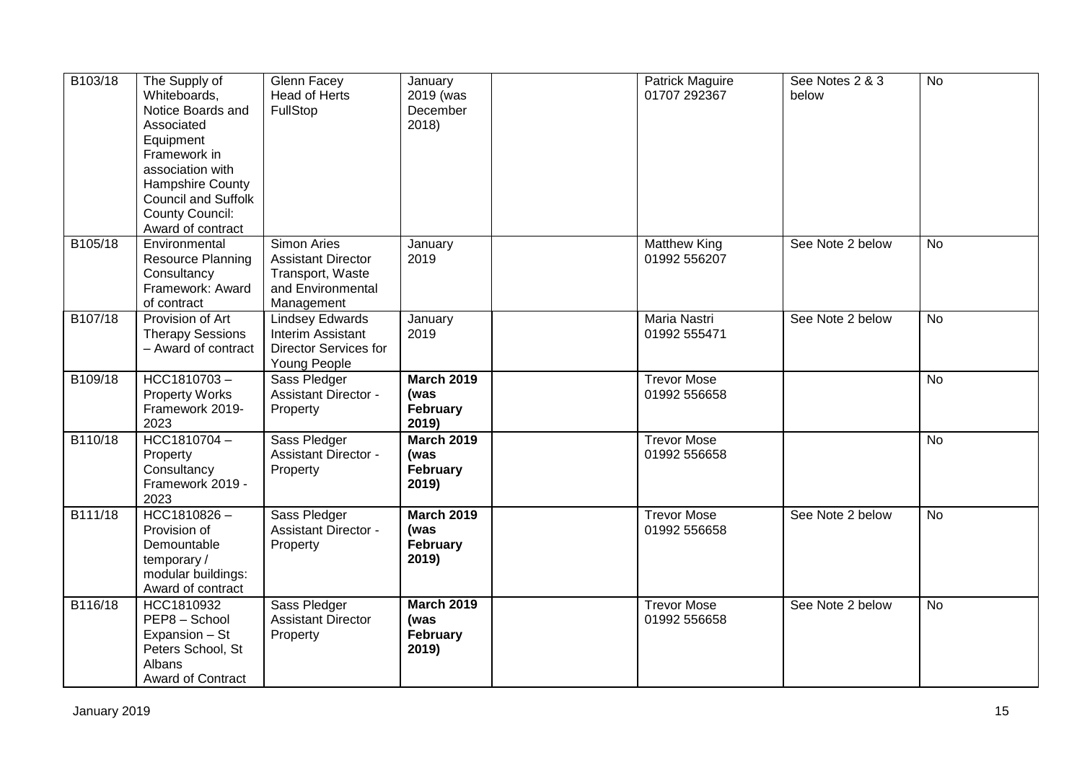| B103/18 | The Supply of<br>Whiteboards,<br>Notice Boards and<br>Associated<br>Equipment<br>Framework in<br>association with<br>Hampshire County<br><b>Council and Suffolk</b><br><b>County Council:</b><br>Award of contract | Glenn Facey<br><b>Head of Herts</b><br>FullStop                                                    | January<br>2019 (was<br>December<br>2018              | <b>Patrick Maguire</b><br>01707 292367 | See Notes 2 & 3<br>below | <b>No</b>      |
|---------|--------------------------------------------------------------------------------------------------------------------------------------------------------------------------------------------------------------------|----------------------------------------------------------------------------------------------------|-------------------------------------------------------|----------------------------------------|--------------------------|----------------|
| B105/18 | Environmental<br><b>Resource Planning</b><br>Consultancy<br>Framework: Award<br>of contract                                                                                                                        | Simon Aries<br><b>Assistant Director</b><br>Transport, Waste<br>and Environmental<br>Management    | January<br>2019                                       | <b>Matthew King</b><br>01992 556207    | See Note 2 below         | <b>No</b>      |
| B107/18 | Provision of Art<br><b>Therapy Sessions</b><br>- Award of contract                                                                                                                                                 | <b>Lindsey Edwards</b><br><b>Interim Assistant</b><br><b>Director Services for</b><br>Young People | January<br>2019                                       | Maria Nastri<br>01992 555471           | See Note 2 below         | <b>No</b>      |
| B109/18 | HCC1810703-<br><b>Property Works</b><br>Framework 2019-<br>2023                                                                                                                                                    | Sass Pledger<br><b>Assistant Director -</b><br>Property                                            | <b>March 2019</b><br>(was<br>February<br>2019)        | <b>Trevor Mose</b><br>01992 556658     |                          | $\overline{N}$ |
| B110/18 | HCC1810704-<br>Property<br>Consultancy<br>Framework 2019 -<br>2023                                                                                                                                                 | Sass Pledger<br><b>Assistant Director -</b><br>Property                                            | <b>March 2019</b><br>(was<br><b>February</b><br>2019) | <b>Trevor Mose</b><br>01992 556658     |                          | No             |
| B111/18 | HCC1810826-<br>Provision of<br>Demountable<br>temporary/<br>modular buildings:<br>Award of contract                                                                                                                | Sass Pledger<br><b>Assistant Director -</b><br>Property                                            | <b>March 2019</b><br>(was<br>February<br>2019)        | <b>Trevor Mose</b><br>01992 556658     | See Note 2 below         | <b>No</b>      |
| B116/18 | HCC1810932<br>PEP8 - School<br>Expansion - St<br>Peters School, St<br>Albans<br>Award of Contract                                                                                                                  | Sass Pledger<br><b>Assistant Director</b><br>Property                                              | <b>March 2019</b><br>(was<br>February<br>2019)        | <b>Trevor Mose</b><br>01992 556658     | See Note 2 below         | No             |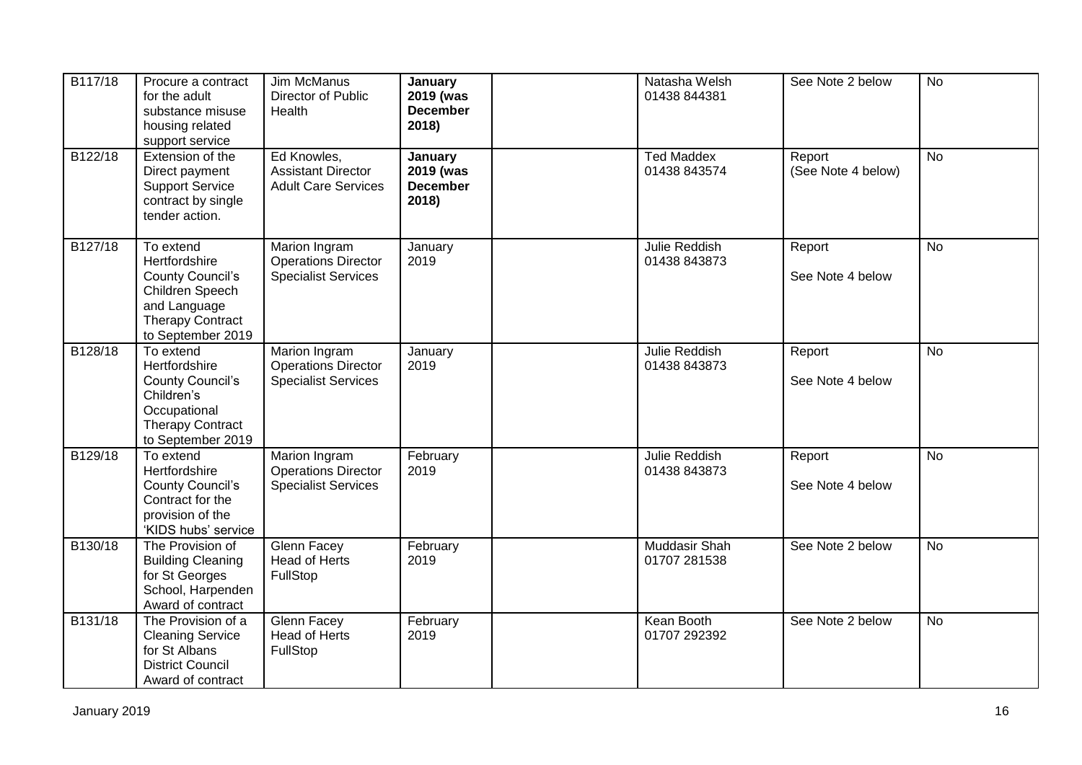| B117/18 | Procure a contract<br>for the adult<br>substance misuse<br>housing related<br>support service                                            | Jim McManus<br>Director of Public<br>Health                               | January<br>2019 (was<br><b>December</b><br>2018) | Natasha Welsh<br>01438 844381        | See Note 2 below             | <b>No</b> |
|---------|------------------------------------------------------------------------------------------------------------------------------------------|---------------------------------------------------------------------------|--------------------------------------------------|--------------------------------------|------------------------------|-----------|
| B122/18 | Extension of the<br>Direct payment<br><b>Support Service</b><br>contract by single<br>tender action.                                     | Ed Knowles,<br><b>Assistant Director</b><br><b>Adult Care Services</b>    | January<br>2019 (was<br><b>December</b><br>2018) | <b>Ted Maddex</b><br>01438 843574    | Report<br>(See Note 4 below) | No        |
| B127/18 | To extend<br>Hertfordshire<br><b>County Council's</b><br>Children Speech<br>and Language<br><b>Therapy Contract</b><br>to September 2019 | Marion Ingram<br><b>Operations Director</b><br><b>Specialist Services</b> | January<br>2019                                  | Julie Reddish<br>01438 843873        | Report<br>See Note 4 below   | No        |
| B128/18 | To extend<br>Hertfordshire<br><b>County Council's</b><br>Children's<br>Occupational<br><b>Therapy Contract</b><br>to September 2019      | Marion Ingram<br><b>Operations Director</b><br><b>Specialist Services</b> | January<br>2019                                  | <b>Julie Reddish</b><br>01438 843873 | Report<br>See Note 4 below   | No        |
| B129/18 | To extend<br>Hertfordshire<br><b>County Council's</b><br>Contract for the<br>provision of the<br>'KIDS hubs' service                     | Marion Ingram<br><b>Operations Director</b><br><b>Specialist Services</b> | February<br>2019                                 | Julie Reddish<br>01438 843873        | Report<br>See Note 4 below   | <b>No</b> |
| B130/18 | The Provision of<br><b>Building Cleaning</b><br>for St Georges<br>School, Harpenden<br>Award of contract                                 | <b>Glenn Facey</b><br><b>Head of Herts</b><br>FullStop                    | February<br>2019                                 | <b>Muddasir Shah</b><br>01707 281538 | See Note 2 below             | <b>No</b> |
| B131/18 | The Provision of a<br><b>Cleaning Service</b><br>for St Albans<br><b>District Council</b><br>Award of contract                           | Glenn Facey<br><b>Head of Herts</b><br>FullStop                           | February<br>2019                                 | Kean Booth<br>01707 292392           | See Note 2 below             | <b>No</b> |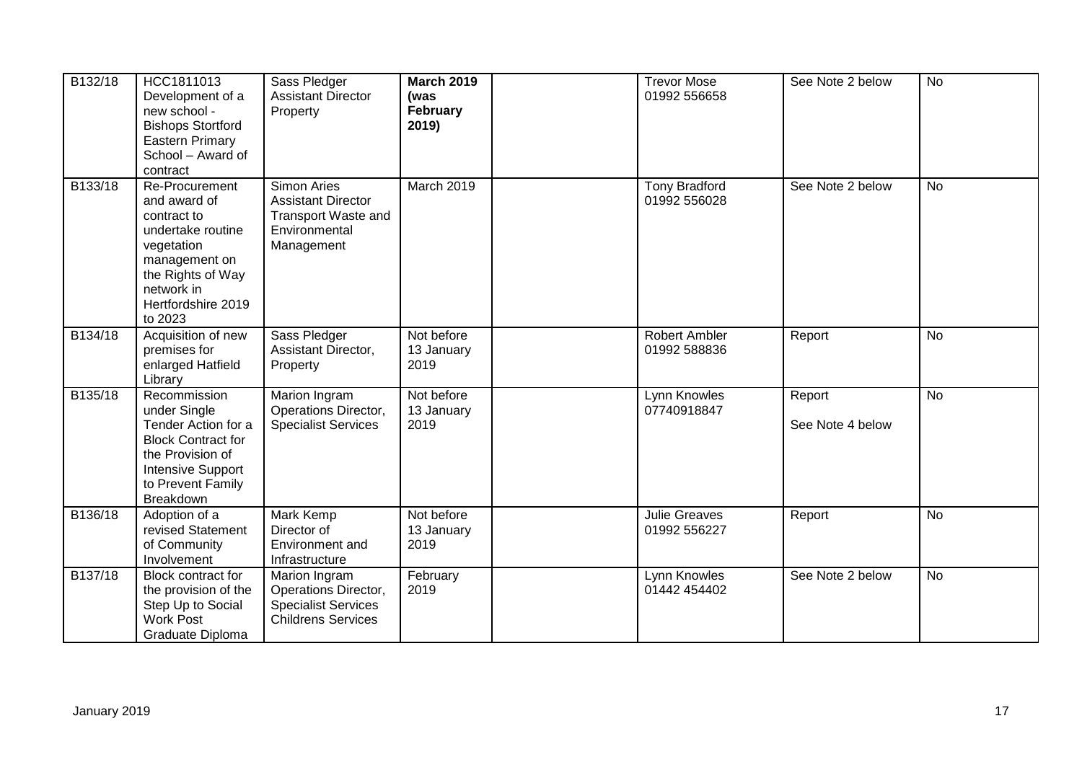| B132/18 | HCC1811013<br>Development of a<br>new school -<br><b>Bishops Stortford</b><br>Eastern Primary<br>School - Award of<br>contract                                        | Sass Pledger<br><b>Assistant Director</b><br>Property                                                        | <b>March 2019</b><br>(was<br>February<br>2019) | <b>Trevor Mose</b><br>01992 556658   | See Note 2 below           | <b>No</b> |
|---------|-----------------------------------------------------------------------------------------------------------------------------------------------------------------------|--------------------------------------------------------------------------------------------------------------|------------------------------------------------|--------------------------------------|----------------------------|-----------|
| B133/18 | Re-Procurement<br>and award of<br>contract to<br>undertake routine<br>vegetation<br>management on<br>the Rights of Way<br>network in<br>Hertfordshire 2019<br>to 2023 | <b>Simon Aries</b><br><b>Assistant Director</b><br><b>Transport Waste and</b><br>Environmental<br>Management | March 2019                                     | <b>Tony Bradford</b><br>01992 556028 | See Note 2 below           | <b>No</b> |
| B134/18 | Acquisition of new<br>premises for<br>enlarged Hatfield<br>Library                                                                                                    | Sass Pledger<br>Assistant Director,<br>Property                                                              | Not before<br>13 January<br>2019               | <b>Robert Ambler</b><br>01992 588836 | Report                     | <b>No</b> |
| B135/18 | Recommission<br>under Single<br>Tender Action for a<br><b>Block Contract for</b><br>the Provision of<br>Intensive Support<br>to Prevent Family<br>Breakdown           | Marion Ingram<br>Operations Director,<br><b>Specialist Services</b>                                          | Not before<br>13 January<br>2019               | Lynn Knowles<br>07740918847          | Report<br>See Note 4 below | <b>No</b> |
| B136/18 | Adoption of a<br>revised Statement<br>of Community<br>Involvement                                                                                                     | Mark Kemp<br>Director of<br>Environment and<br>Infrastructure                                                | Not before<br>13 January<br>2019               | <b>Julie Greaves</b><br>01992 556227 | Report                     | <b>No</b> |
| B137/18 | Block contract for<br>the provision of the<br>Step Up to Social<br><b>Work Post</b><br>Graduate Diploma                                                               | Marion Ingram<br>Operations Director,<br><b>Specialist Services</b><br><b>Childrens Services</b>             | February<br>2019                               | Lynn Knowles<br>01442 454402         | See Note 2 below           | <b>No</b> |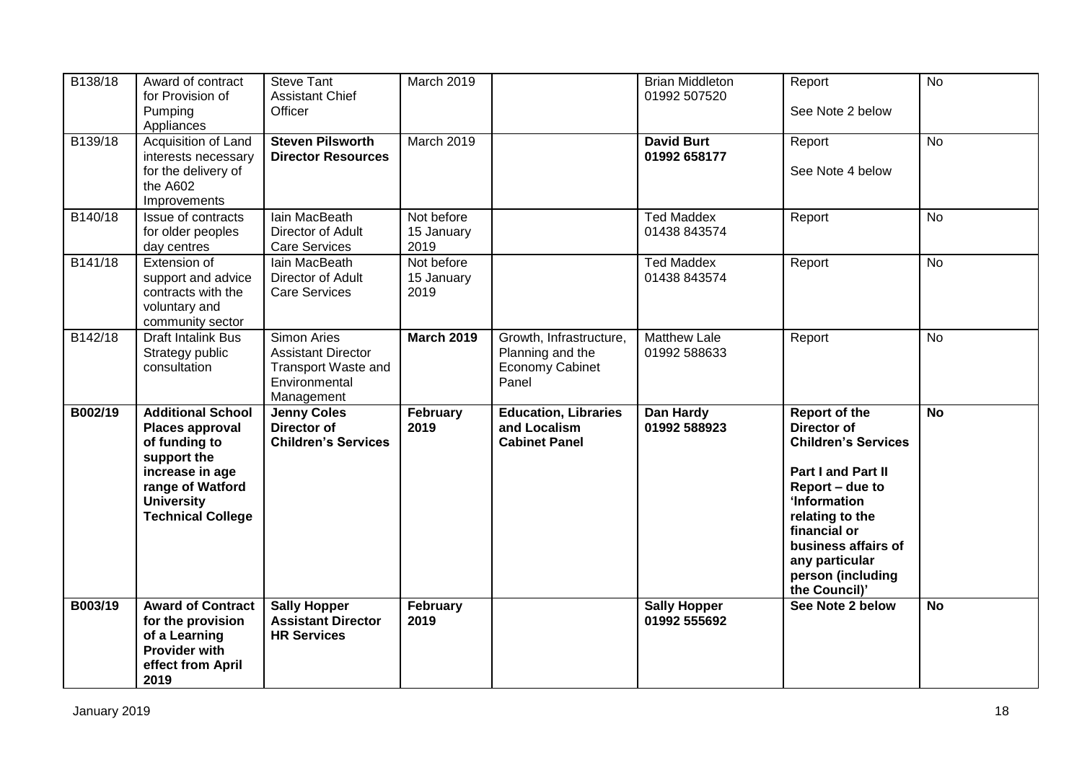| B138/18 | Award of contract<br>for Provision of<br>Pumping<br>Appliances                                                                                                      | <b>Steve Tant</b><br><b>Assistant Chief</b><br>Officer                                                | March 2019                       |                                                                                | <b>Brian Middleton</b><br>01992 507520 | Report<br>See Note 2 below                                                                                                                                                                                                            | <b>No</b> |
|---------|---------------------------------------------------------------------------------------------------------------------------------------------------------------------|-------------------------------------------------------------------------------------------------------|----------------------------------|--------------------------------------------------------------------------------|----------------------------------------|---------------------------------------------------------------------------------------------------------------------------------------------------------------------------------------------------------------------------------------|-----------|
| B139/18 | Acquisition of Land<br>interests necessary<br>for the delivery of<br>the A602<br>Improvements                                                                       | <b>Steven Pilsworth</b><br><b>Director Resources</b>                                                  | <b>March 2019</b>                |                                                                                | <b>David Burt</b><br>01992 658177      | Report<br>See Note 4 below                                                                                                                                                                                                            | <b>No</b> |
| B140/18 | Issue of contracts<br>for older peoples<br>day centres                                                                                                              | Iain MacBeath<br>Director of Adult<br><b>Care Services</b>                                            | Not before<br>15 January<br>2019 |                                                                                | <b>Ted Maddex</b><br>01438 843574      | Report                                                                                                                                                                                                                                | <b>No</b> |
| B141/18 | Extension of<br>support and advice<br>contracts with the<br>voluntary and<br>community sector                                                                       | Iain MacBeath<br>Director of Adult<br><b>Care Services</b>                                            | Not before<br>15 January<br>2019 |                                                                                | <b>Ted Maddex</b><br>01438 843574      | Report                                                                                                                                                                                                                                | <b>No</b> |
| B142/18 | Draft Intalink Bus<br>Strategy public<br>consultation                                                                                                               | Simon Aries<br><b>Assistant Director</b><br><b>Transport Waste and</b><br>Environmental<br>Management | <b>March 2019</b>                | Growth, Infrastructure,<br>Planning and the<br><b>Economy Cabinet</b><br>Panel | <b>Matthew Lale</b><br>01992 588633    | Report                                                                                                                                                                                                                                | <b>No</b> |
| B002/19 | <b>Additional School</b><br>Places approval<br>of funding to<br>support the<br>increase in age<br>range of Watford<br><b>University</b><br><b>Technical College</b> | <b>Jenny Coles</b><br>Director of<br><b>Children's Services</b>                                       | February<br>2019                 | <b>Education, Libraries</b><br>and Localism<br><b>Cabinet Panel</b>            | Dan Hardy<br>01992 588923              | Report of the<br>Director of<br><b>Children's Services</b><br>Part I and Part II<br>Report - due to<br>'Information<br>relating to the<br>financial or<br>business affairs of<br>any particular<br>person (including<br>the Council)' | <b>No</b> |
| B003/19 | <b>Award of Contract</b><br>for the provision<br>of a Learning<br><b>Provider with</b>                                                                              | <b>Sally Hopper</b><br><b>Assistant Director</b><br><b>HR Services</b>                                | February<br>2019                 |                                                                                | <b>Sally Hopper</b><br>01992 555692    | See Note 2 below                                                                                                                                                                                                                      | <b>No</b> |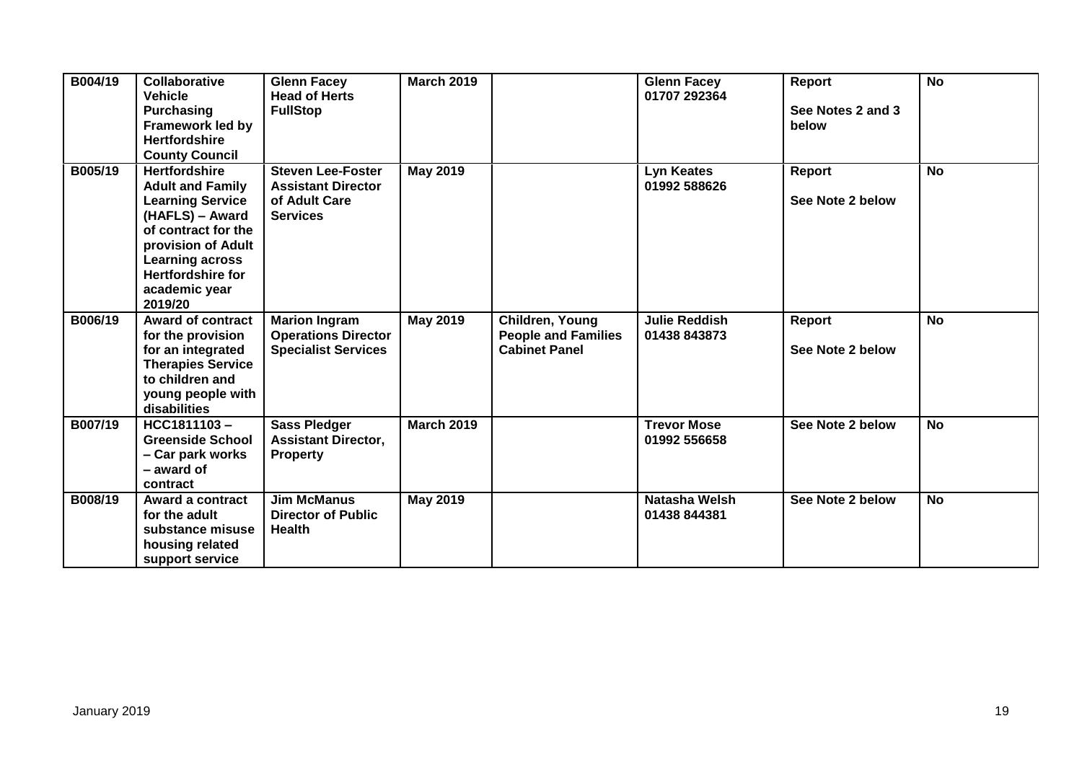| B004/19 | <b>Collaborative</b><br><b>Vehicle</b><br><b>Purchasing</b><br><b>Framework led by</b><br><b>Hertfordshire</b><br><b>County Council</b>                                                                                      | <b>Glenn Facey</b><br><b>Head of Herts</b><br><b>FullStop</b>                             | <b>March 2019</b> |                                                                       | <b>Glenn Facey</b><br>01707 292364   | Report<br>See Notes 2 and 3<br>below | <b>No</b> |
|---------|------------------------------------------------------------------------------------------------------------------------------------------------------------------------------------------------------------------------------|-------------------------------------------------------------------------------------------|-------------------|-----------------------------------------------------------------------|--------------------------------------|--------------------------------------|-----------|
| B005/19 | <b>Hertfordshire</b><br><b>Adult and Family</b><br><b>Learning Service</b><br>(HAFLS) - Award<br>of contract for the<br>provision of Adult<br><b>Learning across</b><br><b>Hertfordshire for</b><br>academic year<br>2019/20 | <b>Steven Lee-Foster</b><br><b>Assistant Director</b><br>of Adult Care<br><b>Services</b> | <b>May 2019</b>   |                                                                       | <b>Lyn Keates</b><br>01992 588626    | <b>Report</b><br>See Note 2 below    | <b>No</b> |
| B006/19 | <b>Award of contract</b><br>for the provision<br>for an integrated<br><b>Therapies Service</b><br>to children and<br>young people with<br>disabilities                                                                       | <b>Marion Ingram</b><br><b>Operations Director</b><br><b>Specialist Services</b>          | <b>May 2019</b>   | Children, Young<br><b>People and Families</b><br><b>Cabinet Panel</b> | <b>Julie Reddish</b><br>01438 843873 | <b>Report</b><br>See Note 2 below    | <b>No</b> |
| B007/19 | HCC1811103-<br><b>Greenside School</b><br>- Car park works<br>- award of<br>contract                                                                                                                                         | <b>Sass Pledger</b><br><b>Assistant Director,</b><br><b>Property</b>                      | <b>March 2019</b> |                                                                       | <b>Trevor Mose</b><br>01992 556658   | See Note 2 below                     | <b>No</b> |
| B008/19 | Award a contract<br>for the adult<br>substance misuse<br>housing related<br>support service                                                                                                                                  | <b>Jim McManus</b><br><b>Director of Public</b><br><b>Health</b>                          | <b>May 2019</b>   |                                                                       | Natasha Welsh<br>01438 844381        | See Note 2 below                     | <b>No</b> |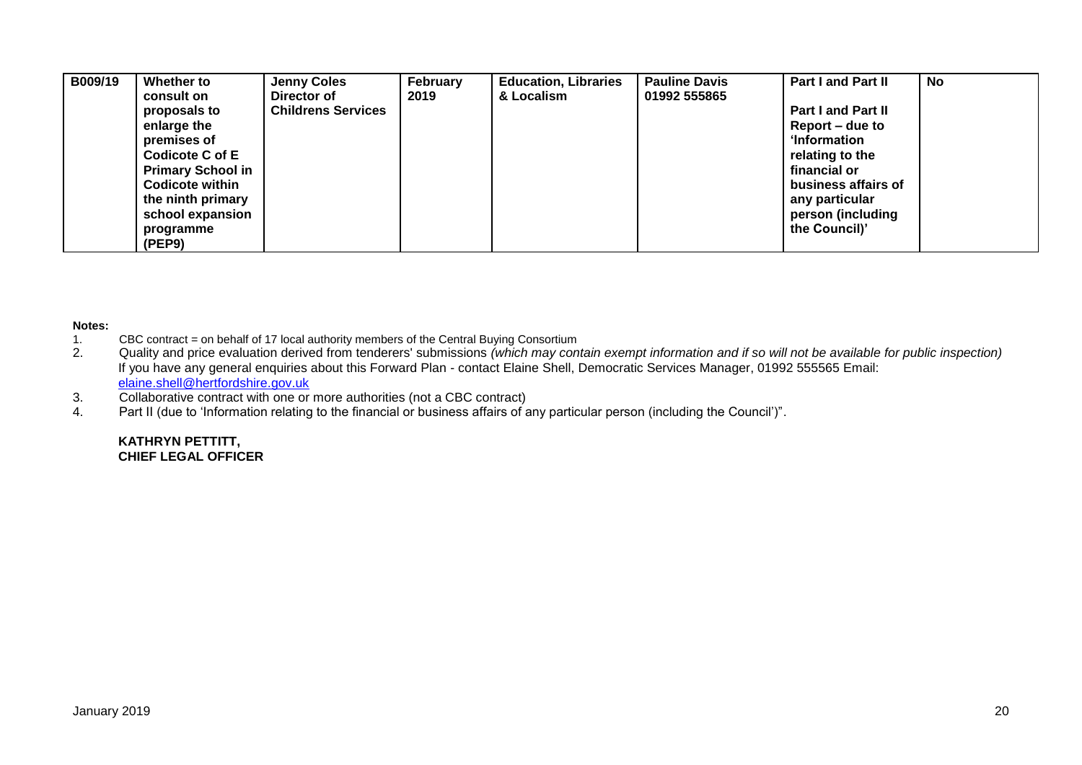| B009/19 | Whether to<br>consult on | <b>Jenny Coles</b><br>Director of | February<br>2019 | <b>Education, Libraries</b><br>& Localism | <b>Pauline Davis</b><br>01992 555865 | <b>Part I and Part II</b> | No |
|---------|--------------------------|-----------------------------------|------------------|-------------------------------------------|--------------------------------------|---------------------------|----|
|         |                          |                                   |                  |                                           |                                      |                           |    |
|         | proposals to             | <b>Childrens Services</b>         |                  |                                           |                                      | <b>Part I and Part II</b> |    |
|         | enlarge the              |                                   |                  |                                           |                                      | Report – due to           |    |
|         | premises of              |                                   |                  |                                           |                                      | <b>Information</b>        |    |
|         | Codicote C of E          |                                   |                  |                                           |                                      | relating to the           |    |
|         | <b>Primary School in</b> |                                   |                  |                                           |                                      | financial or              |    |
|         | <b>Codicote within</b>   |                                   |                  |                                           |                                      | business affairs of       |    |
|         | the ninth primary        |                                   |                  |                                           |                                      | any particular            |    |
|         | school expansion         |                                   |                  |                                           |                                      | person (including         |    |
|         | programme                |                                   |                  |                                           |                                      | the Council)'             |    |
|         | (PEP9)                   |                                   |                  |                                           |                                      |                           |    |

# **Notes:**

- 1. CBC contract = on behalf of 17 local authority members of the Central Buying Consortium<br>2. Quality and price evaluation derived from tenderers' submissions (which may con
- 2. Quality and price evaluation derived from tenderers' submissions *(which may contain exempt information and if so will not be available for public inspection)* If you have any general enquiries about this Forward Plan - contact Elaine Shell, Democratic Services Manager, 01992 555565 Email: [elaine.shell@hertfordshire.gov.uk](mailto:elaine.shell@hertfordshire.gov.uk)
- 3. Collaborative contract with one or more authorities (not a CBC contract)
- 4. Part II (due to 'Information relating to the financial or business affairs of any particular person (including the Council')".

#### **KATHRYN PETTITT, CHIEF LEGAL OFFICER**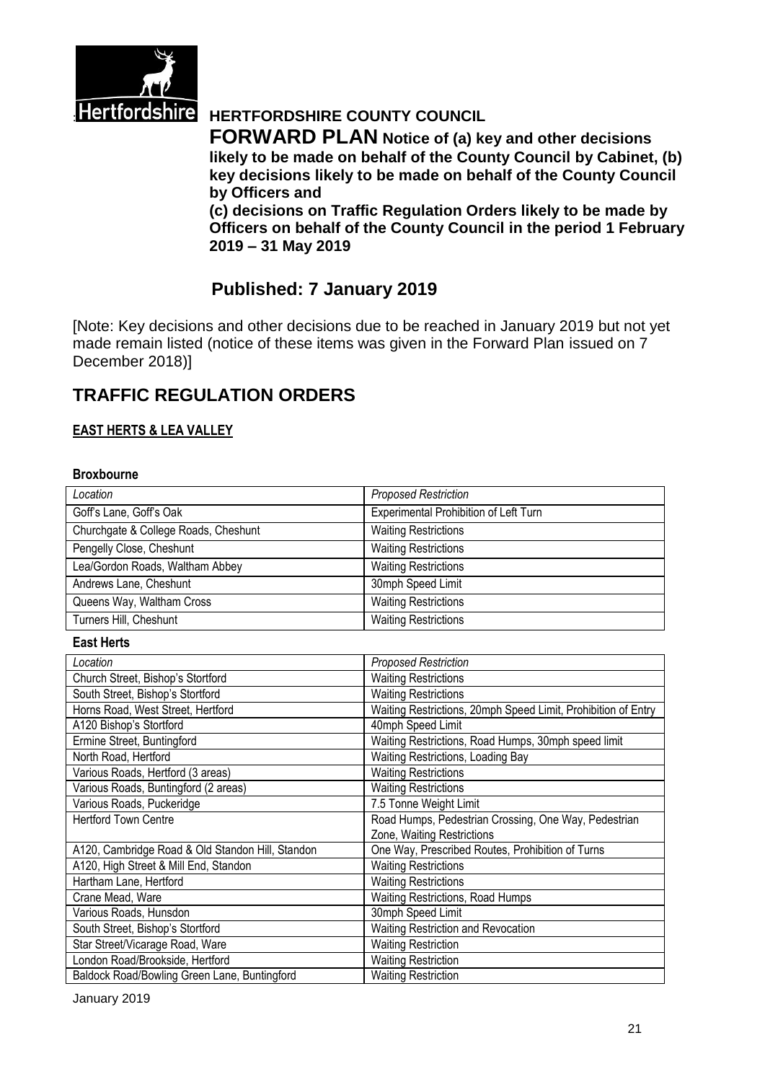

# **Hertfordshire HERTFORDSHIRE COUNTY COUNCIL**

**FORWARD PLAN Notice of (a) key and other decisions likely to be made on behalf of the County Council by Cabinet, (b) key decisions likely to be made on behalf of the County Council by Officers and** 

**(c) decisions on Traffic Regulation Orders likely to be made by Officers on behalf of the County Council in the period 1 February 2019 – 31 May 2019**

# **Published: 7 January 2019**

[Note: Key decisions and other decisions due to be reached in January 2019 but not yet made remain listed (notice of these items was given in the Forward Plan issued on 7 December 2018)]

# **TRAFFIC REGULATION ORDERS**

#### **EAST HERTS & LEA VALLEY**

#### **Broxbourne**

| Location                                         | <b>Proposed Restriction</b>                                   |
|--------------------------------------------------|---------------------------------------------------------------|
| Goff's Lane, Goff's Oak                          | Experimental Prohibition of Left Turn                         |
| Churchgate & College Roads, Cheshunt             | <b>Waiting Restrictions</b>                                   |
| Pengelly Close, Cheshunt                         | <b>Waiting Restrictions</b>                                   |
| Lea/Gordon Roads, Waltham Abbey                  | <b>Waiting Restrictions</b>                                   |
| Andrews Lane, Cheshunt                           | 30mph Speed Limit                                             |
| Queens Way, Waltham Cross                        | <b>Waiting Restrictions</b>                                   |
| Turners Hill, Cheshunt                           | <b>Waiting Restrictions</b>                                   |
| <b>East Herts</b>                                |                                                               |
| Location                                         | <b>Proposed Restriction</b>                                   |
| Church Street, Bishop's Stortford                | <b>Waiting Restrictions</b>                                   |
| South Street, Bishop's Stortford                 | <b>Waiting Restrictions</b>                                   |
| Horns Road, West Street, Hertford                | Waiting Restrictions, 20mph Speed Limit, Prohibition of Entry |
| A120 Bishop's Stortford                          | 40mph Speed Limit                                             |
| Ermine Street, Buntingford                       | Waiting Restrictions, Road Humps, 30mph speed limit           |
| North Road, Hertford                             | Waiting Restrictions, Loading Bay                             |
| Various Roads, Hertford (3 areas)                | <b>Waiting Restrictions</b>                                   |
| Various Roads, Buntingford (2 areas)             | <b>Waiting Restrictions</b>                                   |
| Various Roads, Puckeridge                        | 7.5 Tonne Weight Limit                                        |
| <b>Hertford Town Centre</b>                      | Road Humps, Pedestrian Crossing, One Way, Pedestrian          |
|                                                  | Zone, Waiting Restrictions                                    |
| A120, Cambridge Road & Old Standon Hill, Standon | One Way, Prescribed Routes, Prohibition of Turns              |
| A120, High Street & Mill End, Standon            | <b>Waiting Restrictions</b>                                   |
| Hartham Lane, Hertford                           | <b>Waiting Restrictions</b>                                   |
| Crane Mead, Ware                                 | Waiting Restrictions, Road Humps                              |
| Various Roads, Hunsdon                           | 30mph Speed Limit                                             |
| South Street, Bishop's Stortford                 | Waiting Restriction and Revocation                            |
| Star Street/Vicarage Road, Ware                  | <b>Waiting Restriction</b>                                    |
| London Road/Brookside, Hertford                  | <b>Waiting Restriction</b>                                    |
| Baldock Road/Bowling Green Lane, Buntingford     | <b>Waiting Restriction</b>                                    |

January 2019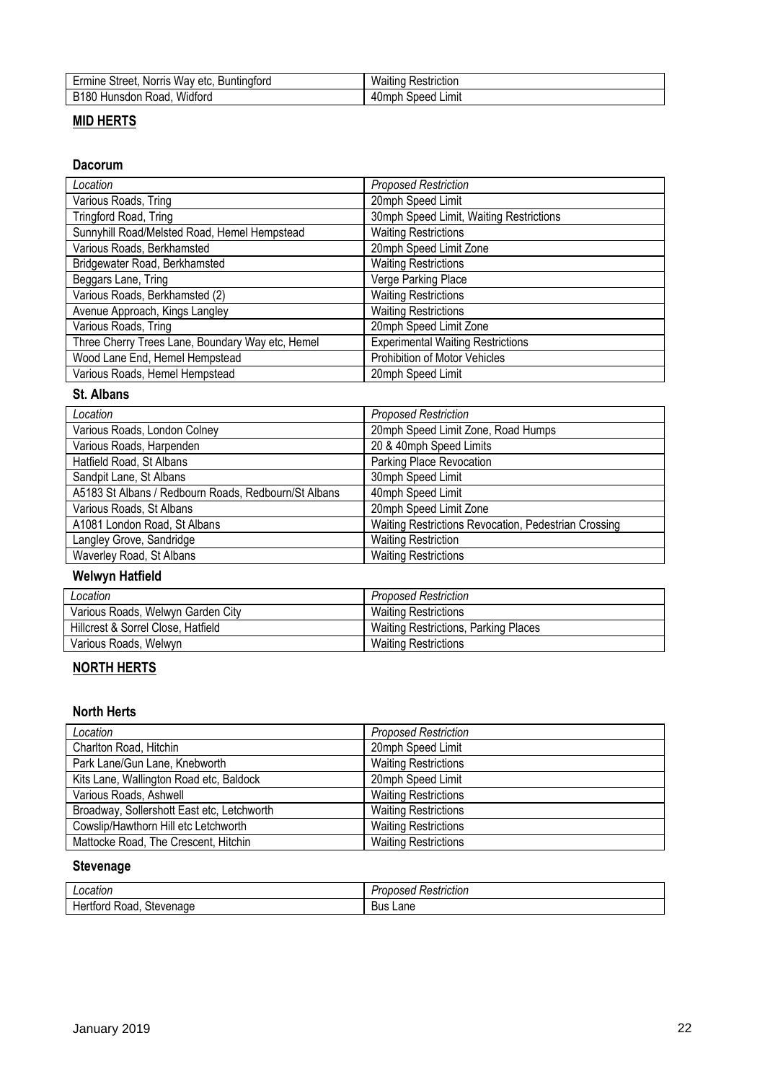| Street.<br><b>Buntingford</b><br>Ermine<br><b>Norris</b><br>etc.<br>Wav | Waiting<br>Restriction |
|-------------------------------------------------------------------------|------------------------|
| B <sub>180</sub>                                                        | Limit                  |
| Widforg                                                                 | 'Jmph                  |
| Hunsdon                                                                 | speed'                 |
| Road.                                                                   | 4VI.                   |

### **MID HERTS**

#### **Dacorum**

| Location                                         | <b>Proposed Restriction</b>              |
|--------------------------------------------------|------------------------------------------|
| Various Roads, Tring                             | 20mph Speed Limit                        |
| Tringford Road, Tring                            | 30mph Speed Limit, Waiting Restrictions  |
| Sunnyhill Road/Melsted Road, Hemel Hempstead     | <b>Waiting Restrictions</b>              |
| Various Roads, Berkhamsted                       | 20mph Speed Limit Zone                   |
| Bridgewater Road, Berkhamsted                    | <b>Waiting Restrictions</b>              |
| Beggars Lane, Tring                              | Verge Parking Place                      |
| Various Roads, Berkhamsted (2)                   | <b>Waiting Restrictions</b>              |
| Avenue Approach, Kings Langley                   | <b>Waiting Restrictions</b>              |
| Various Roads, Tring                             | 20mph Speed Limit Zone                   |
| Three Cherry Trees Lane, Boundary Way etc, Hemel | <b>Experimental Waiting Restrictions</b> |
| Wood Lane End, Hemel Hempstead                   | Prohibition of Motor Vehicles            |
| Various Roads, Hemel Hempstead                   | 20mph Speed Limit                        |

#### **St. Albans**

| Location                                             | <b>Proposed Restriction</b>                          |
|------------------------------------------------------|------------------------------------------------------|
| Various Roads, London Colney                         | 20mph Speed Limit Zone, Road Humps                   |
| Various Roads, Harpenden                             | 20 & 40mph Speed Limits                              |
| Hatfield Road, St Albans                             | Parking Place Revocation                             |
| Sandpit Lane, St Albans                              | 30mph Speed Limit                                    |
| A5183 St Albans / Redbourn Roads, Redbourn/St Albans | 40mph Speed Limit                                    |
| Various Roads, St Albans                             | 20mph Speed Limit Zone                               |
| A1081 London Road, St Albans                         | Waiting Restrictions Revocation, Pedestrian Crossing |
| Langley Grove, Sandridge                             | <b>Waiting Restriction</b>                           |
| Waverley Road, St Albans                             | <b>Waiting Restrictions</b>                          |

### **Welwyn Hatfield**

| Location                           | <b>Proposed Restriction</b>                 |
|------------------------------------|---------------------------------------------|
| Various Roads, Welwyn Garden City  | <b>Waiting Restrictions</b>                 |
| Hillcrest & Sorrel Close, Hatfield | <b>Waiting Restrictions, Parking Places</b> |
| Various Roads, Welwyn              | Waiting Restrictions                        |

#### **NORTH HERTS**

#### **North Herts**

| Location                                   | <b>Proposed Restriction</b> |
|--------------------------------------------|-----------------------------|
| Charlton Road, Hitchin                     | 20mph Speed Limit           |
| Park Lane/Gun Lane, Knebworth              | <b>Waiting Restrictions</b> |
| Kits Lane, Wallington Road etc, Baldock    | 20mph Speed Limit           |
| Various Roads, Ashwell                     | <b>Waiting Restrictions</b> |
| Broadway, Sollershott East etc, Letchworth | <b>Waiting Restrictions</b> |
| Cowslip/Hawthorn Hill etc Letchworth       | <b>Waiting Restrictions</b> |
| Mattocke Road, The Crescent, Hitchin       | <b>Waiting Restrictions</b> |

#### **Stevenage**

| ocation<br>.                                           | $- - +$<br>mction<br>かし<br>00.<br>. |
|--------------------------------------------------------|-------------------------------------|
| $- - -$<br>.<br>.stever<br>≺oac<br>nade<br>пe.<br>UI U | Lane<br>Bus                         |